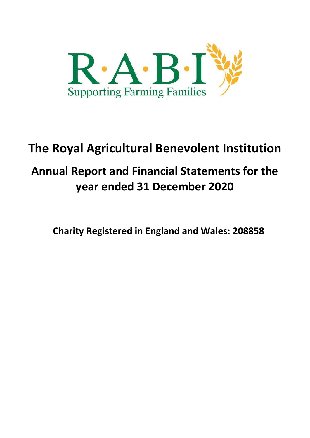

# The Royal Agricultural Benevolent Institution

# Annual Report and Financial Statements for the year ended 31 December 2020

Charity Registered in England and Wales: 208858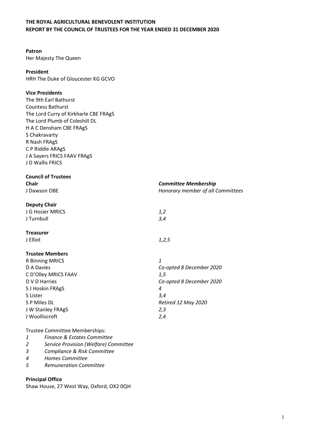#### Patron

Her Majesty The Queen

#### President

HRH The Duke of Gloucester KG GCVO

#### Vice Presidents

The 9th Earl Bathurst Countess Bathurst The Lord Curry of Kirkharle CBE FRAgS The Lord Plumb of Coleshill DL H A C Densham CBE FRAgS S Chakravarty R Nash FRAgS C P Riddle ARAgS J A Sayers FRICS FAAV FRAgS J D Wallis FRICS

| <b>Council of Trustees</b>     |                                   |
|--------------------------------|-----------------------------------|
| <b>Chair</b>                   | <b>Committee Membership</b>       |
| J Dawson OBE                   | Honorary member of all Committees |
| <b>Deputy Chair</b>            |                                   |
| J G Hosier MRICS               | 1,2                               |
| J Turnbull                     | 3,4                               |
| <b>Treasurer</b>               |                                   |
| J Elliot                       | 1,2,5                             |
| <b>Trustee Members</b>         |                                   |
| R Binning MRICS                | 1                                 |
| D A Davies                     | Co-opted 8 December 2020          |
| C D'Olley MRICS FAAV           | 1,5                               |
| D V D Harries                  | Co-opted 8 December 2020          |
| S J Hoskin FRAgS               | 4                                 |
| S Lister                       | 3,4                               |
| S P Miles DL                   | Retired 12 May 2020               |
| J W Stanley FRAgS              | 2,3                               |
| J Woolliscroft                 | 2,4                               |
| Trustee Committee Memberships: |                                   |
| $\blacksquare$                 |                                   |

1 Finance & Estates Committee

2 Service Provision (Welfare) Committee

3 Compliance & Risk Committee

4 Homes Committee

5 Remuneration Committee

#### Principal Office

Shaw House, 27 West Way, Oxford, OX2 0QH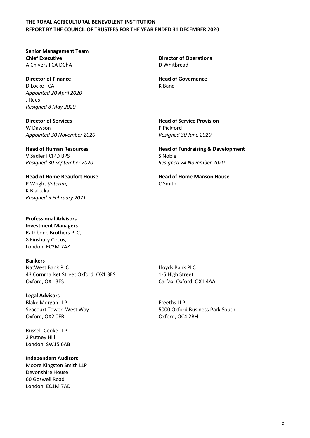Senior Management Team Chief Executive Director of Operations A Chivers FCA DChA D Whitbread

**Director of Finance Head of Governance** D Locke FCA K Band Appointed 20 April 2020 J Rees Resigned 8 May 2020

**Director of Services Head of Service Provision** W Dawson **P Pickford** Appointed 30 November 2020 Resigned 30 June 2020

V Sadler FCIPD BPS S Noble Resigned 30 September 2020 Resigned 24 November 2020

Head of Home Beaufort House **Head of Home Manson House** P Wright (Interim) C Smith K Bialecka Resigned 5 February 2021

Professional Advisors Investment Managers Rathbone Brothers PLC, 8 Finsbury Circus, London, EC2M 7AZ

Bankers NatWest Bank PLC and the Community Control of the Lloyds Bank PLC 43 Cornmarket Street Oxford, OX1 3ES 1-5 High Street Oxford, OX1 3ES Carfax, Oxford, OX1 4AA

Legal Advisors Blake Morgan LLP **Figure 10** and the Freeths LLP Oxford, OX2 0FB Oxford, OC4 2BH

Russell-Cooke LLP 2 Putney Hill London, SW15 6AB

#### Independent Auditors

Moore Kingston Smith LLP Devonshire House 60 Goswell Road London, EC1M 7AD

Head of Human Resources **Head of Fundraising & Development** 

Seacourt Tower, West Way **5000 Oxford Business Park South** 5000 Oxford Business Park South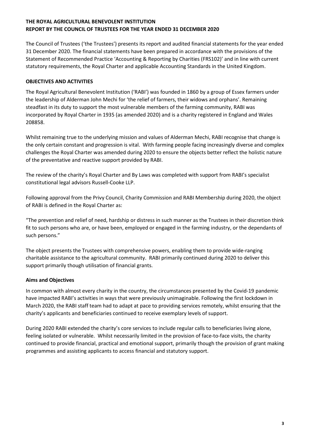The Council of Trustees ('the Trustees') presents its report and audited financial statements for the year ended 31 December 2020. The financial statements have been prepared in accordance with the provisions of the Statement of Recommended Practice 'Accounting & Reporting by Charities (FRS102)' and in line with current statutory requirements, the Royal Charter and applicable Accounting Standards in the United Kingdom.

# OBJECTIVES AND ACTIVITIES

The Royal Agricultural Benevolent Institution ('RABI') was founded in 1860 by a group of Essex farmers under the leadership of Alderman John Mechi for 'the relief of farmers, their widows and orphans'. Remaining steadfast in its duty to support the most vulnerable members of the farming community, RABI was incorporated by Royal Charter in 1935 (as amended 2020) and is a charity registered in England and Wales 208858.

Whilst remaining true to the underlying mission and values of Alderman Mechi, RABI recognise that change is the only certain constant and progression is vital. With farming people facing increasingly diverse and complex challenges the Royal Charter was amended during 2020 to ensure the objects better reflect the holistic nature of the preventative and reactive support provided by RABI.

The review of the charity's Royal Charter and By Laws was completed with support from RABI's specialist constitutional legal advisors Russell-Cooke LLP.

Following approval from the Privy Council, Charity Commission and RABI Membership during 2020, the object of RABI is defined in the Royal Charter as:

"The prevention and relief of need, hardship or distress in such manner as the Trustees in their discretion think fit to such persons who are, or have been, employed or engaged in the farming industry, or the dependants of such persons."

The object presents the Trustees with comprehensive powers, enabling them to provide wide-ranging charitable assistance to the agricultural community. RABI primarily continued during 2020 to deliver this support primarily though utilisation of financial grants.

# Aims and Objectives

In common with almost every charity in the country, the circumstances presented by the Covid-19 pandemic have impacted RABI's activities in ways that were previously unimaginable. Following the first lockdown in March 2020, the RABI staff team had to adapt at pace to providing services remotely, whilst ensuring that the charity's applicants and beneficiaries continued to receive exemplary levels of support.

During 2020 RABI extended the charity's core services to include regular calls to beneficiaries living alone, feeling isolated or vulnerable. Whilst necessarily limited in the provision of face-to-face visits, the charity continued to provide financial, practical and emotional support, primarily though the provision of grant making programmes and assisting applicants to access financial and statutory support.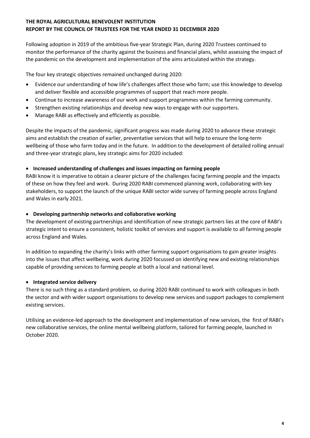Following adoption in 2019 of the ambitious five-year Strategic Plan, during 2020 Trustees continued to monitor the performance of the charity against the business and financial plans, whilst assessing the impact of the pandemic on the development and implementation of the aims articulated within the strategy.

The four key strategic objectives remained unchanged during 2020:

- Evidence our understanding of how life's challenges affect those who farm; use this knowledge to develop and deliver flexible and accessible programmes of support that reach more people.
- Continue to increase awareness of our work and support programmes within the farming community.
- Strengthen existing relationships and develop new ways to engage with our supporters.
- Manage RABI as effectively and efficiently as possible.

Despite the impacts of the pandemic, significant progress was made during 2020 to advance these strategic aims and establish the creation of earlier, preventative services that will help to ensure the long-term wellbeing of those who farm today and in the future. In addition to the development of detailed rolling annual and three-year strategic plans, key strategic aims for 2020 included:

# • Increased understanding of challenges and issues impacting on farming people

RABI know it is imperative to obtain a clearer picture of the challenges facing farming people and the impacts of these on how they feel and work. During 2020 RABI commenced planning work, collaborating with key stakeholders, to support the launch of the unique RABI sector wide survey of farming people across England and Wales in early 2021.

## Developing partnership networks and collaborative working

The development of existing partnerships and identification of new strategic partners lies at the core of RABI's strategic intent to ensure a consistent, holistic toolkit of services and support is available to all farming people across England and Wales.

In addition to expanding the charity's links with other farming support organisations to gain greater insights into the issues that affect wellbeing, work during 2020 focussed on identifying new and existing relationships capable of providing services to farming people at both a local and national level.

## • Integrated service delivery

There is no such thing as a standard problem, so during 2020 RABI continued to work with colleagues in both the sector and with wider support organisations to develop new services and support packages to complement existing services.

Utilising an evidence-led approach to the development and implementation of new services, the first of RABI's new collaborative services, the online mental wellbeing platform, tailored for farming people, launched in October 2020.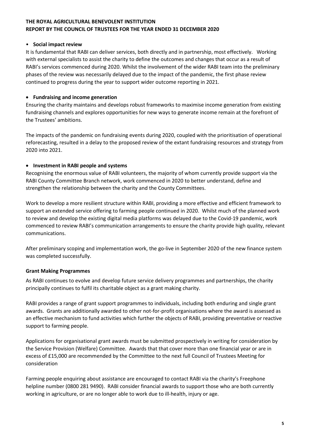## • Social impact review

It is fundamental that RABI can deliver services, both directly and in partnership, most effectively. Working with external specialists to assist the charity to define the outcomes and changes that occur as a result of RABI's services commenced during 2020. Whilst the involvement of the wider RABI team into the preliminary phases of the review was necessarily delayed due to the impact of the pandemic, the first phase review continued to progress during the year to support wider outcome reporting in 2021.

# Fundraising and income generation

Ensuring the charity maintains and develops robust frameworks to maximise income generation from existing fundraising channels and explores opportunities for new ways to generate income remain at the forefront of the Trustees' ambitions.

The impacts of the pandemic on fundraising events during 2020, coupled with the prioritisation of operational reforecasting, resulted in a delay to the proposed review of the extant fundraising resources and strategy from 2020 into 2021.

# • Investment in RABI people and systems

Recognising the enormous value of RABI volunteers, the majority of whom currently provide support via the RABI County Committee Branch network, work commenced in 2020 to better understand, define and strengthen the relationship between the charity and the County Committees.

Work to develop a more resilient structure within RABI, providing a more effective and efficient framework to support an extended service offering to farming people continued in 2020. Whilst much of the planned work to review and develop the existing digital media platforms was delayed due to the Covid-19 pandemic, work commenced to review RABI's communication arrangements to ensure the charity provide high quality, relevant communications.

After preliminary scoping and implementation work, the go-live in September 2020 of the new finance system was completed successfully.

# Grant Making Programmes

As RABI continues to evolve and develop future service delivery programmes and partnerships, the charity principally continues to fulfil its charitable object as a grant making charity.

RABI provides a range of grant support programmes to individuals, including both enduring and single grant awards. Grants are additionally awarded to other not-for-profit organisations where the award is assessed as an effective mechanism to fund activities which further the objects of RABI, providing preventative or reactive support to farming people.

Applications for organisational grant awards must be submitted prospectively in writing for consideration by the Service Provision (Welfare) Committee. Awards that that cover more than one financial year or are in excess of £15,000 are recommended by the Committee to the next full Council of Trustees Meeting for consideration

Farming people enquiring about assistance are encouraged to contact RABI via the charity's Freephone helpline number (0800 281 9490). RABI consider financial awards to support those who are both currently working in agriculture, or are no longer able to work due to ill-health, injury or age.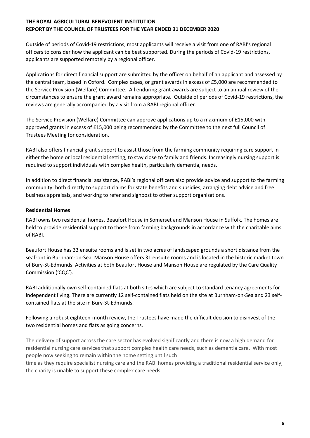Outside of periods of Covid-19 restrictions, most applicants will receive a visit from one of RABI's regional officers to consider how the applicant can be best supported. During the periods of Covid-19 restrictions, applicants are supported remotely by a regional officer.

Applications for direct financial support are submitted by the officer on behalf of an applicant and assessed by the central team, based in Oxford. Complex cases, or grant awards in excess of £5,000 are recommended to the Service Provision (Welfare) Committee. All enduring grant awards are subject to an annual review of the circumstances to ensure the grant award remains appropriate. Outside of periods of Covid-19 restrictions, the reviews are generally accompanied by a visit from a RABI regional officer.

The Service Provision (Welfare) Committee can approve applications up to a maximum of £15,000 with approved grants in excess of £15,000 being recommended by the Committee to the next full Council of Trustees Meeting for consideration.

RABI also offers financial grant support to assist those from the farming community requiring care support in either the home or local residential setting, to stay close to family and friends. Increasingly nursing support is required to support individuals with complex health, particularly dementia, needs.

In addition to direct financial assistance, RABI's regional officers also provide advice and support to the farming community: both directly to support claims for state benefits and subsidies, arranging debt advice and free business appraisals, and working to refer and signpost to other support organisations.

## Residential Homes

RABI owns two residential homes, Beaufort House in Somerset and Manson House in Suffolk. The homes are held to provide residential support to those from farming backgrounds in accordance with the charitable aims of RABI.

Beaufort House has 33 ensuite rooms and is set in two acres of landscaped grounds a short distance from the seafront in Burnham-on-Sea. Manson House offers 31 ensuite rooms and is located in the historic market town of Bury-St-Edmunds. Activities at both Beaufort House and Manson House are regulated by the Care Quality Commission ('CQC').

RABI additionally own self-contained flats at both sites which are subject to standard tenancy agreements for independent living. There are currently 12 self-contained flats held on the site at Burnham-on-Sea and 23 selfcontained flats at the site in Bury-St-Edmunds.

Following a robust eighteen-month review, the Trustees have made the difficult decision to disinvest of the two residential homes and flats as going concerns.

The delivery of support across the care sector has evolved significantly and there is now a high demand for residential nursing care services that support complex health care needs, such as dementia care. With most people now seeking to remain within the home setting until such

time as they require specialist nursing care and the RABI homes providing a traditional residential service only, the charity is unable to support these complex care needs.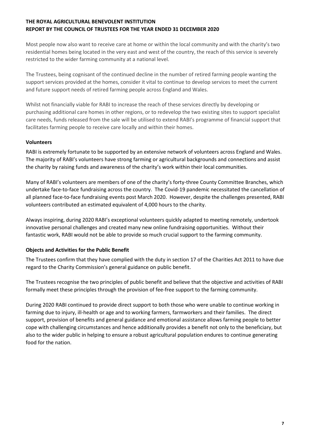Most people now also want to receive care at home or within the local community and with the charity's two residential homes being located in the very east and west of the country, the reach of this service is severely restricted to the wider farming community at a national level.

The Trustees, being cognisant of the continued decline in the number of retired farming people wanting the support services provided at the homes, consider it vital to continue to develop services to meet the current and future support needs of retired farming people across England and Wales.

Whilst not financially viable for RABI to increase the reach of these services directly by developing or purchasing additional care homes in other regions, or to redevelop the two existing sites to support specialist care needs, funds released from the sale will be utilised to extend RABI's programme of financial support that facilitates farming people to receive care locally and within their homes.

# Volunteers

RABI is extremely fortunate to be supported by an extensive network of volunteers across England and Wales. The majority of RABI's volunteers have strong farming or agricultural backgrounds and connections and assist the charity by raising funds and awareness of the charity's work within their local communities.

Many of RABI's volunteers are members of one of the charity's forty-three County Committee Branches, which undertake face-to-face fundraising across the country. The Covid-19 pandemic necessitated the cancellation of all planned face-to-face fundraising events post March 2020. However, despite the challenges presented, RABI volunteers contributed an estimated equivalent of 4,000 hours to the charity.

Always inspiring, during 2020 RABI's exceptional volunteers quickly adapted to meeting remotely, undertook innovative personal challenges and created many new online fundraising opportunities. Without their fantastic work, RABI would not be able to provide so much crucial support to the farming community.

## Objects and Activities for the Public Benefit

The Trustees confirm that they have complied with the duty in section 17 of the Charities Act 2011 to have due regard to the Charity Commission's general guidance on public benefit.

The Trustees recognise the two principles of public benefit and believe that the objective and activities of RABI formally meet these principles through the provision of fee-free support to the farming community.

During 2020 RABI continued to provide direct support to both those who were unable to continue working in farming due to injury, ill-health or age and to working farmers, farmworkers and their families. The direct support, provision of benefits and general guidance and emotional assistance allows farming people to better cope with challenging circumstances and hence additionally provides a benefit not only to the beneficiary, but also to the wider public in helping to ensure a robust agricultural population endures to continue generating food for the nation.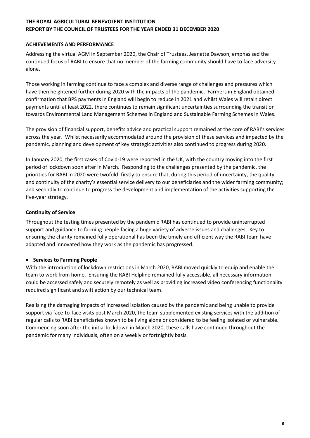## ACHIEVEMENTS AND PERFORMANCE

Addressing the virtual AGM in September 2020, the Chair of Trustees, Jeanette Dawson, emphasised the continued focus of RABI to ensure that no member of the farming community should have to face adversity alone.

Those working in farming continue to face a complex and diverse range of challenges and pressures which have then heightened further during 2020 with the impacts of the pandemic. Farmers in England obtained confirmation that BPS payments in England will begin to reduce in 2021 and whilst Wales will retain direct payments until at least 2022, there continues to remain significant uncertainties surrounding the transition towards Environmental Land Management Schemes in England and Sustainable Farming Schemes in Wales.

The provision of financial support, benefits advice and practical support remained at the core of RABI's services across the year. Whilst necessarily accommodated around the provision of these services and impacted by the pandemic, planning and development of key strategic activities also continued to progress during 2020.

In January 2020, the first cases of Covid-19 were reported in the UK, with the country moving into the first period of lockdown soon after in March. Responding to the challenges presented by the pandemic, the priorities for RABI in 2020 were twofold: firstly to ensure that, during this period of uncertainty, the quality and continuity of the charity's essential service delivery to our beneficiaries and the wider farming community; and secondly to continue to progress the development and implementation of the activities supporting the five-year strategy.

# Continuity of Service

Throughout the testing times presented by the pandemic RABI has continued to provide uninterrupted support and guidance to farming people facing a huge variety of adverse issues and challenges. Key to ensuring the charity remained fully operational has been the timely and efficient way the RABI team have adapted and innovated how they work as the pandemic has progressed.

# **•** Services to Farming People

With the introduction of lockdown restrictions in March 2020, RABI moved quickly to equip and enable the team to work from home. Ensuring the RABI Helpline remained fully accessible, all necessary information could be accessed safely and securely remotely as well as providing increased video conferencing functionality required significant and swift action by our technical team.

Realising the damaging impacts of increased isolation caused by the pandemic and being unable to provide support via face-to-face visits post March 2020, the team supplemented existing services with the addition of regular calls to RABI beneficiaries known to be living alone or considered to be feeling isolated or vulnerable. Commencing soon after the initial lockdown in March 2020, these calls have continued throughout the pandemic for many individuals, often on a weekly or fortnightly basis.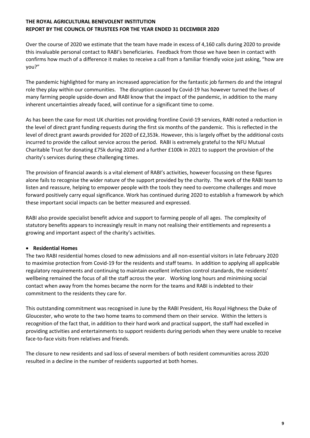Over the course of 2020 we estimate that the team have made in excess of 4,160 calls during 2020 to provide this invaluable personal contact to RABI's beneficiaries. Feedback from those we have been in contact with confirms how much of a difference it makes to receive a call from a familiar friendly voice just asking, "how are you?"

The pandemic highlighted for many an increased appreciation for the fantastic job farmers do and the integral role they play within our communities. The disruption caused by Covid-19 has however turned the lives of many farming people upside-down and RABI know that the impact of the pandemic, in addition to the many inherent uncertainties already faced, will continue for a significant time to come.

As has been the case for most UK charities not providing frontline Covid-19 services, RABI noted a reduction in the level of direct grant funding requests during the first six months of the pandemic. This is reflected in the level of direct grant awards provided for 2020 of £2,353k. However, this is largely offset by the additional costs incurred to provide the callout service across the period. RABI is extremely grateful to the NFU Mutual Charitable Trust for donating £75k during 2020 and a further £100k in 2021 to support the provision of the charity's services during these challenging times.

The provision of financial awards is a vital element of RABI's activities, however focussing on these figures alone fails to recognise the wider nature of the support provided by the charity. The work of the RABI team to listen and reassure, helping to empower people with the tools they need to overcome challenges and move forward positively carry equal significance. Work has continued during 2020 to establish a framework by which these important social impacts can be better measured and expressed.

RABI also provide specialist benefit advice and support to farming people of all ages. The complexity of statutory benefits appears to increasingly result in many not realising their entitlements and represents a growing and important aspect of the charity's activities.

## Residential Homes

The two RABI residential homes closed to new admissions and all non-essential visitors in late February 2020 to maximise protection from Covid-19 for the residents and staff teams. In addition to applying all applicable regulatory requirements and continuing to maintain excellent infection control standards, the residents' wellbeing remained the focus of all the staff across the year. Working long hours and minimising social contact when away from the homes became the norm for the teams and RABI is indebted to their commitment to the residents they care for.

This outstanding commitment was recognised in June by the RABI President, His Royal Highness the Duke of Gloucester, who wrote to the two home teams to commend them on their service. Within the letters is recognition of the fact that, in addition to their hard work and practical support, the staff had excelled in providing activities and entertainments to support residents during periods when they were unable to receive face-to-face visits from relatives and friends.

The closure to new residents and sad loss of several members of both resident communities across 2020 resulted in a decline in the number of residents supported at both homes.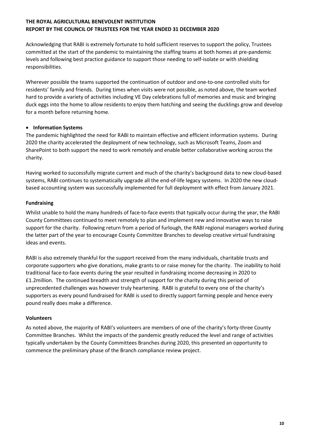Acknowledging that RABI is extremely fortunate to hold sufficient reserves to support the policy, Trustees committed at the start of the pandemic to maintaining the staffing teams at both homes at pre-pandemic levels and following best practice guidance to support those needing to self-isolate or with shielding responsibilities.

Wherever possible the teams supported the continuation of outdoor and one-to-one controlled visits for residents' family and friends. During times when visits were not possible, as noted above, the team worked hard to provide a variety of activities including VE Day celebrations full of memories and music and bringing duck eggs into the home to allow residents to enjoy them hatching and seeing the ducklings grow and develop for a month before returning home.

## • Information Systems

The pandemic highlighted the need for RABI to maintain effective and efficient information systems. During 2020 the charity accelerated the deployment of new technology, such as Microsoft Teams, Zoom and SharePoint to both support the need to work remotely and enable better collaborative working across the charity.

Having worked to successfully migrate current and much of the charity's background data to new cloud-based systems, RABI continues to systematically upgrade all the end-of-life legacy systems. In 2020 the new cloudbased accounting system was successfully implemented for full deployment with effect from January 2021.

# Fundraising

Whilst unable to hold the many hundreds of face-to-face events that typically occur during the year, the RABI County Committees continued to meet remotely to plan and implement new and innovative ways to raise support for the charity. Following return from a period of furlough, the RABI regional managers worked during the latter part of the year to encourage County Committee Branches to develop creative virtual fundraising ideas and events.

RABI is also extremely thankful for the support received from the many individuals, charitable trusts and corporate supporters who give donations, make grants to or raise money for the charity. The inability to hold traditional face-to-face events during the year resulted in fundraising income decreasing in 2020 to £1.2million. The continued breadth and strength of support for the charity during this period of unprecedented challenges was however truly heartening. RABI is grateful to every one of the charity's supporters as every pound fundraised for RABI is used to directly support farming people and hence every pound really does make a difference.

## Volunteers

As noted above, the majority of RABI's volunteers are members of one of the charity's forty-three County Committee Branches. Whilst the impacts of the pandemic greatly reduced the level and range of activities typically undertaken by the County Committees Branches during 2020, this presented an opportunity to commence the preliminary phase of the Branch compliance review project.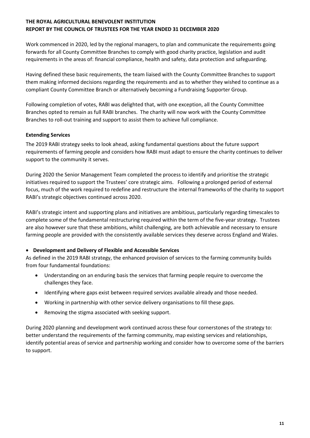Work commenced in 2020, led by the regional managers, to plan and communicate the requirements going forwards for all County Committee Branches to comply with good charity practice, legislation and audit requirements in the areas of: financial compliance, health and safety, data protection and safeguarding.

Having defined these basic requirements, the team liaised with the County Committee Branches to support them making informed decisions regarding the requirements and as to whether they wished to continue as a compliant County Committee Branch or alternatively becoming a Fundraising Supporter Group.

Following completion of votes, RABI was delighted that, with one exception, all the County Committee Branches opted to remain as full RABI branches. The charity will now work with the County Committee Branches to roll-out training and support to assist them to achieve full compliance.

## Extending Services

The 2019 RABI strategy seeks to look ahead, asking fundamental questions about the future support requirements of farming people and considers how RABI must adapt to ensure the charity continues to deliver support to the community it serves.

During 2020 the Senior Management Team completed the process to identify and prioritise the strategic initiatives required to support the Trustees' core strategic aims. Following a prolonged period of external focus, much of the work required to redefine and restructure the internal frameworks of the charity to support RABI's strategic objectives continued across 2020.

RABI's strategic intent and supporting plans and initiatives are ambitious, particularly regarding timescales to complete some of the fundamental restructuring required within the term of the five-year strategy. Trustees are also however sure that these ambitions, whilst challenging, are both achievable and necessary to ensure farming people are provided with the consistently available services they deserve across England and Wales.

## Development and Delivery of Flexible and Accessible Services

As defined in the 2019 RABI strategy, the enhanced provision of services to the farming community builds from four fundamental foundations:

- Understanding on an enduring basis the services that farming people require to overcome the challenges they face.
- Identifying where gaps exist between required services available already and those needed.
- Working in partnership with other service delivery organisations to fill these gaps.
- Removing the stigma associated with seeking support.

During 2020 planning and development work continued across these four cornerstones of the strategy to: better understand the requirements of the farming community, map existing services and relationships, identify potential areas of service and partnership working and consider how to overcome some of the barriers to support.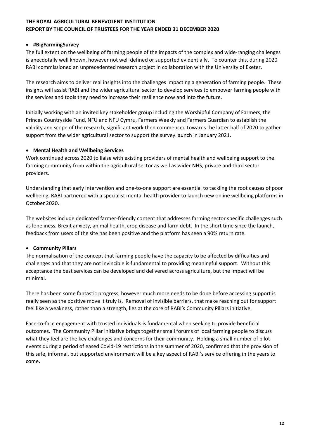# #BigFarmingSurvey

The full extent on the wellbeing of farming people of the impacts of the complex and wide-ranging challenges is anecdotally well known, however not well defined or supported evidentially. To counter this, during 2020 RABI commissioned an unprecedented research project in collaboration with the University of Exeter.

The research aims to deliver real insights into the challenges impacting a generation of farming people. These insights will assist RABI and the wider agricultural sector to develop services to empower farming people with the services and tools they need to increase their resilience now and into the future.

Initially working with an invited key stakeholder group including the Worshipful Company of Farmers, the Princes Countryside Fund, NFU and NFU Cymru, Farmers Weekly and Farmers Guardian to establish the validity and scope of the research, significant work then commenced towards the latter half of 2020 to gather support from the wider agricultural sector to support the survey launch in January 2021.

# Mental Health and Wellbeing Services

Work continued across 2020 to liaise with existing providers of mental health and wellbeing support to the farming community from within the agricultural sector as well as wider NHS, private and third sector providers.

Understanding that early intervention and one-to-one support are essential to tackling the root causes of poor wellbeing, RABI partnered with a specialist mental health provider to launch new online wellbeing platforms in October 2020.

The websites include dedicated farmer-friendly content that addresses farming sector specific challenges such as loneliness, Brexit anxiety, animal health, crop disease and farm debt. In the short time since the launch, feedback from users of the site has been positive and the platform has seen a 90% return rate.

# Community Pillars

The normalisation of the concept that farming people have the capacity to be affected by difficulties and challenges and that they are not invincible is fundamental to providing meaningful support. Without this acceptance the best services can be developed and delivered across agriculture, but the impact will be minimal.

There has been some fantastic progress, however much more needs to be done before accessing support is really seen as the positive move it truly is. Removal of invisible barriers, that make reaching out for support feel like a weakness, rather than a strength, lies at the core of RABI's Community Pillars initiative.

Face-to-face engagement with trusted individuals is fundamental when seeking to provide beneficial outcomes. The Community Pillar initiative brings together small forums of local farming people to discuss what they feel are the key challenges and concerns for their community. Holding a small number of pilot events during a period of eased Covid-19 restrictions in the summer of 2020, confirmed that the provision of this safe, informal, but supported environment will be a key aspect of RABI's service offering in the years to come.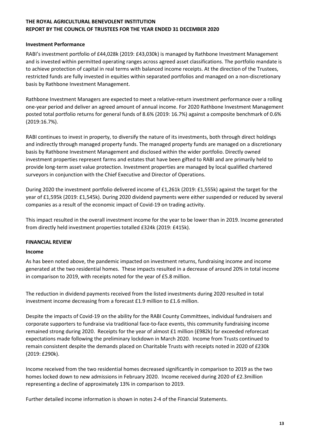## Investment Performance

RABI's investment portfolio of £44,028k (2019: £43,030k) is managed by Rathbone Investment Management and is invested within permitted operating ranges across agreed asset classifications. The portfolio mandate is to achieve protection of capital in real terms with balanced income receipts. At the direction of the Trustees, restricted funds are fully invested in equities within separated portfolios and managed on a non-discretionary basis by Rathbone Investment Management.

Rathbone Investment Managers are expected to meet a relative-return investment performance over a rolling one-year period and deliver an agreed amount of annual income. For 2020 Rathbone Investment Management posted total portfolio returns for general funds of 8.6% (2019: 16.7%) against a composite benchmark of 0.6% (2019:16.7%).

RABI continues to invest in property, to diversify the nature of its investments, both through direct holdings and indirectly through managed property funds. The managed property funds are managed on a discretionary basis by Rathbone Investment Management and disclosed within the wider portfolio. Directly owned investment properties represent farms and estates that have been gifted to RABI and are primarily held to provide long-term asset value protection. Investment properties are managed by local qualified chartered surveyors in conjunction with the Chief Executive and Director of Operations.

During 2020 the investment portfolio delivered income of £1,261k (2019: £1,555k) against the target for the year of £1,595k (2019: £1,545k). During 2020 dividend payments were either suspended or reduced by several companies as a result of the economic impact of Covid-19 on trading activity.

This impact resulted in the overall investment income for the year to be lower than in 2019. Income generated from directly held investment properties totalled £324k (2019: £415k).

#### FINANCIAL REVIEW

#### Income

As has been noted above, the pandemic impacted on investment returns, fundraising income and income generated at the two residential homes. These impacts resulted in a decrease of around 20% in total income in comparison to 2019, with receipts noted for the year of £5.8 million.

The reduction in dividend payments received from the listed investments during 2020 resulted in total investment income decreasing from a forecast £1.9 million to £1.6 million.

Despite the impacts of Covid-19 on the ability for the RABI County Committees, individual fundraisers and corporate supporters to fundraise via traditional face-to-face events, this community fundraising income remained strong during 2020. Receipts for the year of almost £1 million (£982k) far exceeded reforecast expectations made following the preliminary lockdown in March 2020. Income from Trusts continued to remain consistent despite the demands placed on Charitable Trusts with receipts noted in 2020 of £230k (2019: £290k).

Income received from the two residential homes decreased significantly in comparison to 2019 as the two homes locked down to new admissions in February 2020. Income received during 2020 of £2.3million representing a decline of approximately 13% in comparison to 2019.

Further detailed income information is shown in notes 2-4 of the Financial Statements.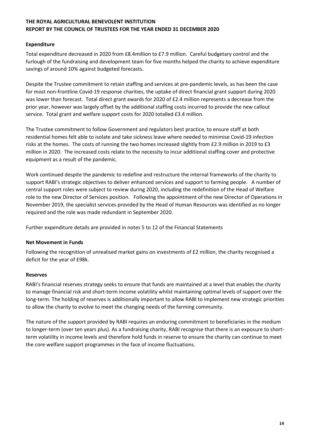# Expenditure

Total expenditure decreased in 2020 from £8.4million to £7.9 million. Careful budgetary control and the furlough of the fundraising and development team for five months helped the charity to achieve expenditure savings of around 10% against budgeted forecasts.

Despite the Trustee commitment to retain staffing and services at pre-pandemic levels, as has been the case for most non-frontline Covid-19 response charities, the uptake of direct financial grant support during 2020 was lower than forecast. Total direct grant awards for 2020 of £2.4 million represents a decrease from the prior year, however was largely offset by the additional staffing costs incurred to provide the new callout service. Total grant and welfare support costs for 2020 totalled £3.4 million.

The Trustee commitment to follow Government and regulators best practice, to ensure staff at both residential homes felt able to isolate and take sickness leave where needed to minimise Covid-19 infection risks at the homes. The costs of running the two homes increased slightly from £2.9 million in 2019 to £3 million in 2020. The increased costs relate to the necessity to incur additional staffing cover and protective equipment as a result of the pandemic.

Work continued despite the pandemic to redefine and restructure the internal frameworks of the charity to support RABI's strategic objectives to deliver enhanced services and support to farming people. A number of central support roles were subject to review during 2020, including the redefinition of the Head of Welfare role to the new Director of Services position. Following the appointment of the new Director of Operations in November 2019, the specialist services provided by the Head of Human Resources was identified as no longer required and the role was made redundant in September 2020.

Further expenditure details are provided in notes 5 to 12 of the Financial Statements

## Net Movement in Funds

Following the recognition of unrealised market gains on investments of £2 million, the charity recognised a deficit for the year of £98k.

## Reserves

RABI's financial reserves strategy seeks to ensure that funds are maintained at a level that enables the charity to manage financial risk and short-term income volatility whilst maintaining optimal levels of support over the long-term. The holding of reserves is additionally important to allow RABI to implement new strategic priorities to allow the charity to evolve to meet the changing needs of the farming community.

The nature of the support provided by RABI requires an enduring commitment to beneficiaries in the medium to longer-term (over ten years plus). As a fundraising charity, RABI recognise that there is an exposure to shortterm volatility in income levels and therefore hold funds in reserve to ensure the charity can continue to meet the core welfare support programmes in the face of income fluctuations.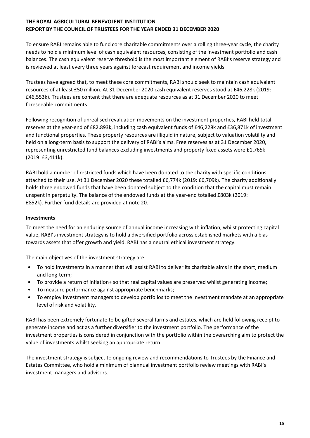To ensure RABI remains able to fund core charitable commitments over a rolling three-year cycle, the charity needs to hold a minimum level of cash equivalent resources, consisting of the investment portfolio and cash balances. The cash equivalent reserve threshold is the most important element of RABI's reserve strategy and is reviewed at least every three years against forecast requirement and income yields.

Trustees have agreed that, to meet these core commitments, RABI should seek to maintain cash equivalent resources of at least £50 million. At 31 December 2020 cash equivalent reserves stood at £46,228k (2019: £46,553k). Trustees are content that there are adequate resources as at 31 December 2020 to meet foreseeable commitments.

Following recognition of unrealised revaluation movements on the investment properties, RABI held total reserves at the year-end of £82,893k, including cash equivalent funds of £46,228k and £36,871k of investment and functional properties. These property resources are illiquid in nature, subject to valuation volatility and held on a long-term basis to support the delivery of RABI's aims. Free reserves as at 31 December 2020, representing unrestricted fund balances excluding investments and property fixed assets were £1,765k (2019: £3,411k).

RABI hold a number of restricted funds which have been donated to the charity with specific conditions attached to their use. At 31 December 2020 these totalled £6,774k (2019: £6,709k). The charity additionally holds three endowed funds that have been donated subject to the condition that the capital must remain unspent in perpetuity. The balance of the endowed funds at the year-end totalled £803k (2019: £852k). Further fund details are provided at note 20.

### Investments

To meet the need for an enduring source of annual income increasing with inflation, whilst protecting capital value, RABI's investment strategy is to hold a diversified portfolio across established markets with a bias towards assets that offer growth and yield. RABI has a neutral ethical investment strategy.

The main objectives of the investment strategy are:

- To hold investments in a manner that will assist RABI to deliver its charitable aims in the short, medium and long-term;
- To provide a return of inflation+ so that real capital values are preserved whilst generating income;
- To measure performance against appropriate benchmarks;
- To employ investment managers to develop portfolios to meet the investment mandate at an appropriate level of risk and volatility.

RABI has been extremely fortunate to be gifted several farms and estates, which are held following receipt to generate income and act as a further diversifier to the investment portfolio. The performance of the investment properties is considered in conjunction with the portfolio within the overarching aim to protect the value of investments whilst seeking an appropriate return.

The investment strategy is subject to ongoing review and recommendations to Trustees by the Finance and Estates Committee, who hold a minimum of biannual investment portfolio review meetings with RABI's investment managers and advisors.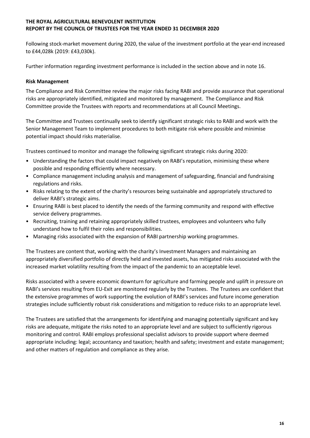Following stock-market movement during 2020, the value of the investment portfolio at the year-end increased to £44,028k (2019: £43,030k).

Further information regarding investment performance is included in the section above and in note 16.

### Risk Management

The Compliance and Risk Committee review the major risks facing RABI and provide assurance that operational risks are appropriately identified, mitigated and monitored by management. The Compliance and Risk Committee provide the Trustees with reports and recommendations at all Council Meetings.

The Committee and Trustees continually seek to identify significant strategic risks to RABI and work with the Senior Management Team to implement procedures to both mitigate risk where possible and minimise potential impact should risks materialise.

Trustees continued to monitor and manage the following significant strategic risks during 2020:

- Understanding the factors that could impact negatively on RABI's reputation, minimising these where possible and responding efficiently where necessary.
- Compliance management including analysis and management of safeguarding, financial and fundraising regulations and risks.
- Risks relating to the extent of the charity's resources being sustainable and appropriately structured to deliver RABI's strategic aims.
- Ensuring RABI is best placed to identify the needs of the farming community and respond with effective service delivery programmes.
- Recruiting, training and retaining appropriately skilled trustees, employees and volunteers who fully understand how to fulfil their roles and responsibilities.
- Managing risks associated with the expansion of RABI partnership working programmes.

The Trustees are content that, working with the charity's Investment Managers and maintaining an appropriately diversified portfolio of directly held and invested assets, has mitigated risks associated with the increased market volatility resulting from the impact of the pandemic to an acceptable level.

Risks associated with a severe economic downturn for agriculture and farming people and uplift in pressure on RABI's services resulting from EU-Exit are monitored regularly by the Trustees. The Trustees are confident that the extensive programmes of work supporting the evolution of RABI's services and future income generation strategies include sufficiently robust risk considerations and mitigation to reduce risks to an appropriate level.

The Trustees are satisfied that the arrangements for identifying and managing potentially significant and key risks are adequate, mitigate the risks noted to an appropriate level and are subject to sufficiently rigorous monitoring and control. RABI employs professional specialist advisors to provide support where deemed appropriate including: legal; accountancy and taxation; health and safety; investment and estate management; and other matters of regulation and compliance as they arise.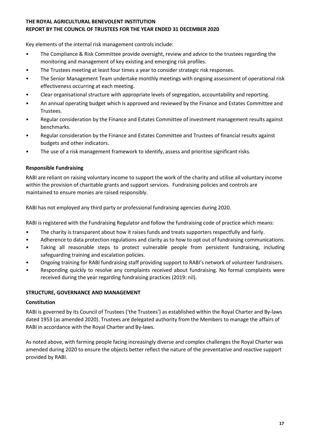Key elements of the internal risk management controls include:

- The Compliance & Risk Committee provide oversight, review and advice to the trustees regarding the monitoring and management of key existing and emerging risk profiles.
- The Trustees meeting at least four times a year to consider strategic risk responses.
- The Senior Management Team undertake monthly meetings with ongoing assessment of operational risk effectiveness occurring at each meeting.
- Clear organisational structure with appropriate levels of segregation, accountability and reporting.
- An annual operating budget which is approved and reviewed by the Finance and Estates Committee and Trustees.
- Regular consideration by the Finance and Estates Committee of investment management results against benchmarks.
- Regular consideration by the Finance and Estates Committee and Trustees of financial results against budgets and other indicators.
- The use of a risk management framework to identify, assess and prioritise significant risks.

# Responsible Fundraising

RABI are reliant on raising voluntary income to support the work of the charity and utilise all voluntary income within the provision of charitable grants and support services. Fundraising policies and controls are maintained to ensure monies are raised responsibly.

RABI has not employed any third party or professional fundraising agencies during 2020.

RABI is registered with the Fundraising Regulator and follow the fundraising code of practice which means:

- The charity is transparent about how it raises funds and treats supporters respectfully and fairly.
- Adherence to data protection regulations and clarity as to how to opt out of fundraising communications.
- Taking all reasonable steps to protect vulnerable people from persistent fundraising, including safeguarding training and escalation policies.
- Ongoing training for RABI fundraising staff providing support to RABI's network of volunteer fundraisers.
- Responding quickly to resolve any complaints received about fundraising. No formal complaints were received during the year regarding fundraising practices (2019: nil).

## STRUCTURE, GOVERNANCE AND MANAGEMENT

## Constitution

RABI is governed by its Council of Trustees ('the Trustees') as established within the Royal Charter and By-laws dated 1953 (as amended 2020). Trustees are delegated authority from the Members to manage the affairs of RABI in accordance with the Royal Charter and By-laws.

As noted above, with farming people facing increasingly diverse and complex challenges the Royal Charter was amended during 2020 to ensure the objects better reflect the nature of the preventative and reactive support provided by RABI.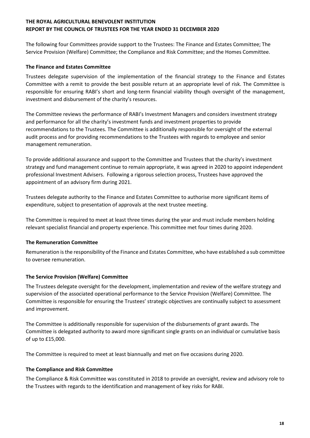The following four Committees provide support to the Trustees: The Finance and Estates Committee; The Service Provision (Welfare) Committee; the Compliance and Risk Committee; and the Homes Committee.

## The Finance and Estates Committee

Trustees delegate supervision of the implementation of the financial strategy to the Finance and Estates Committee with a remit to provide the best possible return at an appropriate level of risk. The Committee is responsible for ensuring RABI's short and long-term financial viability though oversight of the management, investment and disbursement of the charity's resources.

The Committee reviews the performance of RABI's Investment Managers and considers investment strategy and performance for all the charity's investment funds and investment properties to provide recommendations to the Trustees. The Committee is additionally responsible for oversight of the external audit process and for providing recommendations to the Trustees with regards to employee and senior management remuneration.

To provide additional assurance and support to the Committee and Trustees that the charity's investment strategy and fund management continue to remain appropriate, it was agreed in 2020 to appoint independent professional Investment Advisers. Following a rigorous selection process, Trustees have approved the appointment of an advisory firm during 2021.

Trustees delegate authority to the Finance and Estates Committee to authorise more significant items of expenditure, subject to presentation of approvals at the next trustee meeting.

The Committee is required to meet at least three times during the year and must include members holding relevant specialist financial and property experience. This committee met four times during 2020.

## The Remuneration Committee

Remuneration is the responsibility of the Finance and Estates Committee, who have established a sub committee to oversee remuneration.

# The Service Provision (Welfare) Committee

The Trustees delegate oversight for the development, implementation and review of the welfare strategy and supervision of the associated operational performance to the Service Provision (Welfare) Committee. The Committee is responsible for ensuring the Trustees' strategic objectives are continually subject to assessment and improvement.

The Committee is additionally responsible for supervision of the disbursements of grant awards. The Committee is delegated authority to award more significant single grants on an individual or cumulative basis of up to £15,000.

The Committee is required to meet at least biannually and met on five occasions during 2020.

## The Compliance and Risk Committee

The Compliance & Risk Committee was constituted in 2018 to provide an oversight, review and advisory role to the Trustees with regards to the identification and management of key risks for RABI.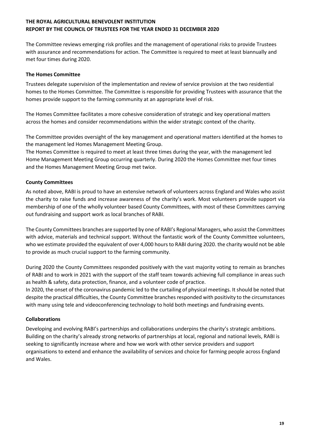The Committee reviews emerging risk profiles and the management of operational risks to provide Trustees with assurance and recommendations for action. The Committee is required to meet at least biannually and met four times during 2020.

## The Homes Committee

Trustees delegate supervision of the implementation and review of service provision at the two residential homes to the Homes Committee. The Committee is responsible for providing Trustees with assurance that the homes provide support to the farming community at an appropriate level of risk.

The Homes Committee facilitates a more cohesive consideration of strategic and key operational matters across the homes and consider recommendations within the wider strategic context of the charity.

The Committee provides oversight of the key management and operational matters identified at the homes to the management led Homes Management Meeting Group.

The Homes Committee is required to meet at least three times during the year, with the management led Home Management Meeting Group occurring quarterly. During 2020 the Homes Committee met four times and the Homes Management Meeting Group met twice.

# County Committees

As noted above, RABI is proud to have an extensive network of volunteers across England and Wales who assist the charity to raise funds and increase awareness of the charity's work. Most volunteers provide support via membership of one of the wholly volunteer based County Committees, with most of these Committees carrying out fundraising and support work as local branches of RABI.

The County Committees branches are supported by one of RABI's Regional Managers, who assist the Committees with advice, materials and technical support. Without the fantastic work of the County Committee volunteers, who we estimate provided the equivalent of over 4,000 hours to RABI during 2020. the charity would not be able to provide as much crucial support to the farming community.

During 2020 the County Committees responded positively with the vast majority voting to remain as branches of RABI and to work in 2021 with the support of the staff team towards achieving full compliance in areas such as health & safety, data protection, finance, and a volunteer code of practice.

In 2020, the onset of the coronavirus pandemic led to the curtailing of physical meetings. It should be noted that despite the practical difficulties, the County Committee branches responded with positivity to the circumstances with many using tele and videoconferencing technology to hold both meetings and fundraising events.

# Collaborations

Developing and evolving RABI's partnerships and collaborations underpins the charity's strategic ambitions. Building on the charity's already strong networks of partnerships at local, regional and national levels, RABI is seeking to significantly increase where and how we work with other service providers and support organisations to extend and enhance the availability of services and choice for farming people across England and Wales.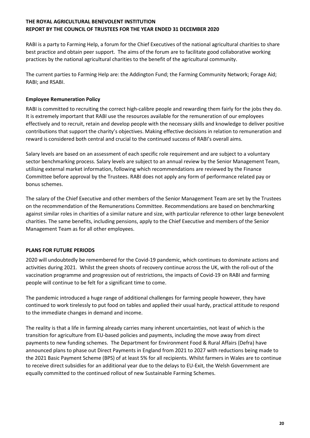RABI is a party to Farming Help, a forum for the Chief Executives of the national agricultural charities to share best practice and obtain peer support. The aims of the forum are to facilitate good collaborative working practices by the national agricultural charities to the benefit of the agricultural community.

The current parties to Farming Help are: the Addington Fund; the Farming Community Network; Forage Aid; RABI; and RSABI.

## Employee Remuneration Policy

RABI is committed to recruiting the correct high-calibre people and rewarding them fairly for the jobs they do. It is extremely important that RABI use the resources available for the remuneration of our employees effectively and to recruit, retain and develop people with the necessary skills and knowledge to deliver positive contributions that support the charity's objectives. Making effective decisions in relation to remuneration and reward is considered both central and crucial to the continued success of RABI's overall aims.

Salary levels are based on an assessment of each specific role requirement and are subject to a voluntary sector benchmarking process. Salary levels are subject to an annual review by the Senior Management Team, utilising external market information, following which recommendations are reviewed by the Finance Committee before approval by the Trustees. RABI does not apply any form of performance related pay or bonus schemes.

The salary of the Chief Executive and other members of the Senior Management Team are set by the Trustees on the recommendation of the Remunerations Committee. Recommendations are based on benchmarking against similar roles in charities of a similar nature and size, with particular reference to other large benevolent charities. The same benefits, including pensions, apply to the Chief Executive and members of the Senior Management Team as for all other employees.

# PLANS FOR FUTURE PERIODS

2020 will undoubtedly be remembered for the Covid-19 pandemic, which continues to dominate actions and activities during 2021. Whilst the green shoots of recovery continue across the UK, with the roll-out of the vaccination programme and progression out of restrictions, the impacts of Covid-19 on RABI and farming people will continue to be felt for a significant time to come.

The pandemic introduced a huge range of additional challenges for farming people however, they have continued to work tirelessly to put food on tables and applied their usual hardy, practical attitude to respond to the immediate changes in demand and income.

The reality is that a life in farming already carries many inherent uncertainties, not least of which is the transition for agriculture from EU-based policies and payments, including the move away from direct payments to new funding schemes. The Department for Environment Food & Rural Affairs (Defra) have announced plans to phase out Direct Payments in England from 2021 to 2027 with reductions being made to the 2021 Basic Payment Scheme (BPS) of at least 5% for all recipients. Whilst farmers in Wales are to continue to receive direct subsidies for an additional year due to the delays to EU-Exit, the Welsh Government are equally committed to the continued rollout of new Sustainable Farming Schemes.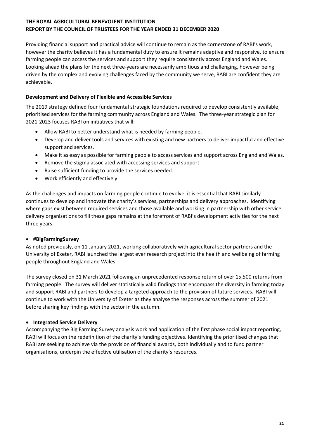Providing financial support and practical advice will continue to remain as the cornerstone of RABI's work, however the charity believes it has a fundamental duty to ensure it remains adaptive and responsive, to ensure farming people can access the services and support they require consistently across England and Wales. Looking ahead the plans for the next three-years are necessarily ambitious and challenging, however being driven by the complex and evolving challenges faced by the community we serve, RABI are confident they are achievable.

# Development and Delivery of Flexible and Accessible Services

The 2019 strategy defined four fundamental strategic foundations required to develop consistently available, prioritised services for the farming community across England and Wales. The three-year strategic plan for 2021-2023 focuses RABI on initiatives that will:

- Allow RABI to better understand what is needed by farming people.
- Develop and deliver tools and services with existing and new partners to deliver impactful and effective support and services.
- Make it as easy as possible for farming people to access services and support across England and Wales.
- Remove the stigma associated with accessing services and support.
- Raise sufficient funding to provide the services needed.
- Work efficiently and effectively.

As the challenges and impacts on farming people continue to evolve, it is essential that RABI similarly continues to develop and innovate the charity's services, partnerships and delivery approaches. Identifying where gaps exist between required services and those available and working in partnership with other service delivery organisations to fill these gaps remains at the forefront of RABI's development activities for the next three years.

## #BigFarmingSurvey

As noted previously, on 11 January 2021, working collaboratively with agricultural sector partners and the University of Exeter, RABI launched the largest ever research project into the health and wellbeing of farming people throughout England and Wales.

The survey closed on 31 March 2021 following an unprecedented response return of over 15,500 returns from farming people. The survey will deliver statistically valid findings that encompass the diversity in farming today and support RABI and partners to develop a targeted approach to the provision of future services. RABI will continue to work with the University of Exeter as they analyse the responses across the summer of 2021 before sharing key findings with the sector in the autumn.

# • Integrated Service Delivery

Accompanying the Big Farming Survey analysis work and application of the first phase social impact reporting, RABI will focus on the redefinition of the charity's funding objectives. Identifying the prioritised changes that RABI are seeking to achieve via the provision of financial awards, both individually and to fund partner organisations, underpin the effective utilisation of the charity's resources.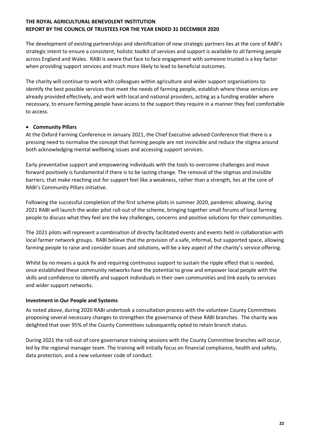The development of existing partnerships and identification of new strategic partners lies at the core of RABI's strategic intent to ensure a consistent, holistic toolkit of services and support is available to all farming people across England and Wales. RABI is aware that face to face engagement with someone trusted is a key factor when providing support services and much more likely to lead to beneficial outcomes.

The charity will continue to work with colleagues within agriculture and wider support organisations to: identify the best possible services that meet the needs of farming people, establish where these services are already provided effectively, and work with local and national providers, acting as a funding enabler where necessary, to ensure farming people have access to the support they require in a manner they feel comfortable to access.

# Community Pillars

At the Oxford Farming Conference in January 2021, the Chief Executive advised Conference that there is a pressing need to normalise the concept that farming people are not invincible and reduce the stigma around both acknowledging mental wellbeing issues and accessing support services.

Early preventative support and empowering individuals with the tools to overcome challenges and move forward positively is fundamental if there is to be lasting change. The removal of the stigmas and invisible barriers, that make reaching out for support feel like a weakness, rather than a strength, lies at the core of RABI's Community Pillars initiative.

Following the successful completion of the first scheme pilots in summer 2020, pandemic allowing, during 2021 RABI will launch the wider pilot roll-out of the scheme, bringing together small forums of local farming people to discuss what they feel are the key challenges, concerns and positive solutions for their communities.

The 2021 pilots will represent a combination of directly facilitated events and events held in collaboration with local farmer network groups. RABI believe that the provision of a safe, informal, but supported space, allowing farming people to raise and consider issues and solutions, will be a key aspect of the charity's service offering.

Whilst by no means a quick fix and requiring continuous support to sustain the ripple effect that is needed, once established these community networks have the potential to grow and empower local people with the skills and confidence to identify and support individuals in their own communities and link easily to services and wider support networks.

## Investment in Our People and Systems

As noted above, during 2020 RABI undertook a consultation process with the volunteer County Committees proposing several necessary changes to strengthen the governance of these RABI branches. The charity was delighted that over 95% of the County Committees subsequently opted to retain branch status.

During 2021 the roll-out of core governance training sessions with the County Committee branches will occur, led by the regional manager team. The training will initially focus on financial compliance, health and safety, data protection, and a new volunteer code of conduct.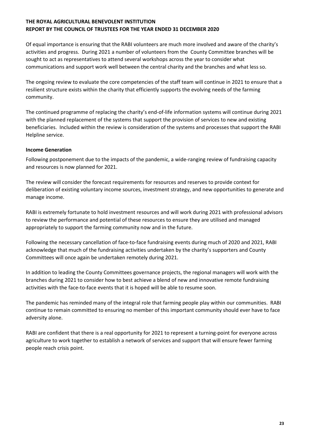Of equal importance is ensuring that the RABI volunteers are much more involved and aware of the charity's activities and progress. During 2021 a number of volunteers from the County Committee branches will be sought to act as representatives to attend several workshops across the year to consider what communications and support work well between the central charity and the branches and what less so.

The ongoing review to evaluate the core competencies of the staff team will continue in 2021 to ensure that a resilient structure exists within the charity that efficiently supports the evolving needs of the farming community.

The continued programme of replacing the charity's end-of-life information systems will continue during 2021 with the planned replacement of the systems that support the provision of services to new and existing beneficiaries. Included within the review is consideration of the systems and processes that support the RABI Helpline service.

## Income Generation

Following postponement due to the impacts of the pandemic, a wide-ranging review of fundraising capacity and resources is now planned for 2021.

The review will consider the forecast requirements for resources and reserves to provide context for deliberation of existing voluntary income sources, investment strategy, and new opportunities to generate and manage income.

RABI is extremely fortunate to hold investment resources and will work during 2021 with professional advisors to review the performance and potential of these resources to ensure they are utilised and managed appropriately to support the farming community now and in the future.

Following the necessary cancellation of face-to-face fundraising events during much of 2020 and 2021, RABI acknowledge that much of the fundraising activities undertaken by the charity's supporters and County Committees will once again be undertaken remotely during 2021.

In addition to leading the County Committees governance projects, the regional managers will work with the branches during 2021 to consider how to best achieve a blend of new and innovative remote fundraising activities with the face-to-face events that it is hoped will be able to resume soon.

The pandemic has reminded many of the integral role that farming people play within our communities. RABI continue to remain committed to ensuring no member of this important community should ever have to face adversity alone.

RABI are confident that there is a real opportunity for 2021 to represent a turning-point for everyone across agriculture to work together to establish a network of services and support that will ensure fewer farming people reach crisis point.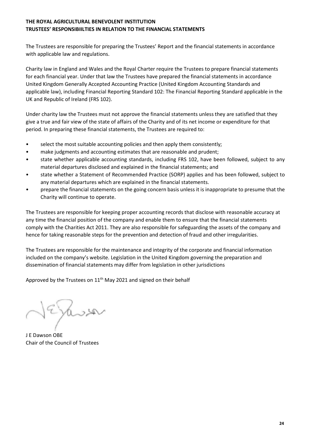## THE ROYAL AGRICULTURAL BENEVOLENT INSTITUTION TRUSTEES' RESPONSIBIILTIES IN RELATION TO THE FINANCIAL STATEMENTS

The Trustees are responsible for preparing the Trustees' Report and the financial statements in accordance with applicable law and regulations.

Charity law in England and Wales and the Royal Charter require the Trustees to prepare financial statements for each financial year. Under that law the Trustees have prepared the financial statements in accordance United Kingdom Generally Accepted Accounting Practice (United Kingdom Accounting Standards and applicable law), including Financial Reporting Standard 102: The Financial Reporting Standard applicable in the UK and Republic of Ireland (FRS 102).

Under charity law the Trustees must not approve the financial statements unless they are satisfied that they give a true and fair view of the state of affairs of the Charity and of its net income or expenditure for that period. In preparing these financial statements, the Trustees are required to:

- select the most suitable accounting policies and then apply them consistently;
- make judgments and accounting estimates that are reasonable and prudent;
- state whether applicable accounting standards, including FRS 102, have been followed, subject to any material departures disclosed and explained in the financial statements; and
- state whether a Statement of Recommended Practice (SORP) applies and has been followed, subject to any material departures which are explained in the financial statements.
- prepare the financial statements on the going concern basis unless it is inappropriate to presume that the Charity will continue to operate.

The Trustees are responsible for keeping proper accounting records that disclose with reasonable accuracy at any time the financial position of the company and enable them to ensure that the financial statements comply with the Charities Act 2011. They are also responsible for safeguarding the assets of the company and hence for taking reasonable steps for the prevention and detection of fraud and other irregularities.

The Trustees are responsible for the maintenance and integrity of the corporate and financial information included on the company's website. Legislation in the United Kingdom governing the preparation and dissemination of financial statements may differ from legislation in other jurisdictions

Approved by the Trustees on  $11<sup>th</sup>$  May 2021 and signed on their behalf

 $M\rightarrow 14$ 

J E Dawson OBE Chair of the Council of Trustees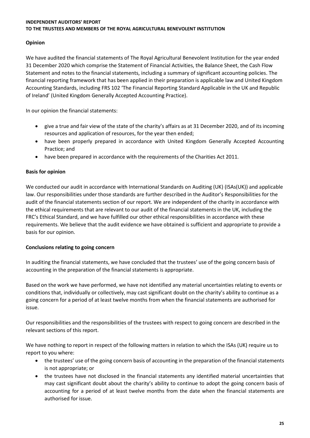# Opinion

We have audited the financial statements of The Royal Agricultural Benevolent Institution for the year ended 31 December 2020 which comprise the Statement of Financial Activities, the Balance Sheet, the Cash Flow Statement and notes to the financial statements, including a summary of significant accounting policies. The financial reporting framework that has been applied in their preparation is applicable law and United Kingdom Accounting Standards, including FRS 102 'The Financial Reporting Standard Applicable in the UK and Republic of Ireland' (United Kingdom Generally Accepted Accounting Practice).

In our opinion the financial statements:

- give a true and fair view of the state of the charity's affairs as at 31 December 2020, and of its incoming resources and application of resources, for the year then ended;
- have been properly prepared in accordance with United Kingdom Generally Accepted Accounting Practice; and
- have been prepared in accordance with the requirements of the Charities Act 2011.

# Basis for opinion

We conducted our audit in accordance with International Standards on Auditing (UK) (ISAs(UK)) and applicable law. Our responsibilities under those standards are further described in the Auditor's Responsibilities for the audit of the financial statements section of our report. We are independent of the charity in accordance with the ethical requirements that are relevant to our audit of the financial statements in the UK, including the FRC's Ethical Standard, and we have fulfilled our other ethical responsibilities in accordance with these requirements. We believe that the audit evidence we have obtained is sufficient and appropriate to provide a basis for our opinion.

## Conclusions relating to going concern

In auditing the financial statements, we have concluded that the trustees' use of the going concern basis of accounting in the preparation of the financial statements is appropriate.

Based on the work we have performed, we have not identified any material uncertainties relating to events or conditions that, individually or collectively, may cast significant doubt on the charity's ability to continue as a going concern for a period of at least twelve months from when the financial statements are authorised for issue.

Our responsibilities and the responsibilities of the trustees with respect to going concern are described in the relevant sections of this report.

We have nothing to report in respect of the following matters in relation to which the ISAs (UK) require us to report to you where:

- the trustees' use of the going concern basis of accounting in the preparation of the financial statements is not appropriate; or
- the trustees have not disclosed in the financial statements any identified material uncertainties that may cast significant doubt about the charity's ability to continue to adopt the going concern basis of accounting for a period of at least twelve months from the date when the financial statements are authorised for issue.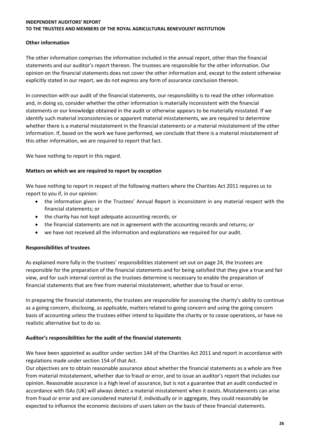## Other information

The other information comprises the information included in the annual report, other than the financial statements and our auditor's report thereon. The trustees are responsible for the other information. Our opinion on the financial statements does not cover the other information and, except to the extent otherwise explicitly stated in our report, we do not express any form of assurance conclusion thereon.

In connection with our audit of the financial statements, our responsibility is to read the other information and, in doing so, consider whether the other information is materially inconsistent with the financial statements or our knowledge obtained in the audit or otherwise appears to be materially misstated. If we identify such material inconsistencies or apparent material misstatements, we are required to determine whether there is a material misstatement in the financial statements or a material misstatement of the other information. If, based on the work we have performed, we conclude that there is a material misstatement of this other information, we are required to report that fact.

We have nothing to report in this regard.

## Matters on which we are required to report by exception

We have nothing to report in respect of the following matters where the Charities Act 2011 requires us to report to you if, in our opinion:

- the information given in the Trustees' Annual Report is inconsistent in any material respect with the financial statements; or
- the charity has not kept adequate accounting records; or
- the financial statements are not in agreement with the accounting records and returns; or
- we have not received all the information and explanations we required for our audit.

#### Responsibilities of trustees

As explained more fully in the trustees' responsibilities statement set out on page 24, the trustees are responsible for the preparation of the financial statements and for being satisfied that they give a true and fair view, and for such internal control as the trustees determine is necessary to enable the preparation of financial statements that are free from material misstatement, whether due to fraud or error.

In preparing the financial statements, the trustees are responsible for assessing the charity's ability to continue as a going concern, disclosing, as applicable, matters related to going concern and using the going concern basis of accounting unless the trustees either intend to liquidate the charity or to cease operations, or have no realistic alternative but to do so.

#### Auditor's responsibilities for the audit of the financial statements

We have been appointed as auditor under section 144 of the Charities Act 2011 and report in accordance with regulations made under section 154 of that Act.

Our objectives are to obtain reasonable assurance about whether the financial statements as a whole are free from material misstatement, whether due to fraud or error, and to issue an auditor's report that includes our opinion. Reasonable assurance is a high level of assurance, but is not a guarantee that an audit conducted in accordance with ISAs (UK) will always detect a material misstatement when it exists. Misstatements can arise from fraud or error and are considered material if, individually or in aggregate, they could reasonably be expected to influence the economic decisions of users taken on the basis of these financial statements.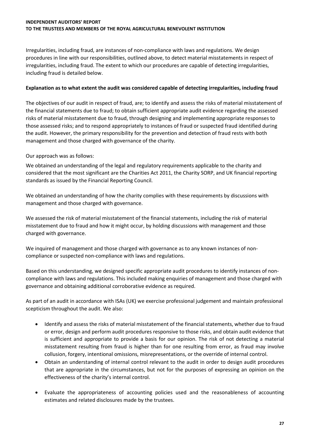Irregularities, including fraud, are instances of non-compliance with laws and regulations. We design procedures in line with our responsibilities, outlined above, to detect material misstatements in respect of irregularities, including fraud. The extent to which our procedures are capable of detecting irregularities, including fraud is detailed below.

#### Explanation as to what extent the audit was considered capable of detecting irregularities, including fraud

The objectives of our audit in respect of fraud, are; to identify and assess the risks of material misstatement of the financial statements due to fraud; to obtain sufficient appropriate audit evidence regarding the assessed risks of material misstatement due to fraud, through designing and implementing appropriate responses to those assessed risks; and to respond appropriately to instances of fraud or suspected fraud identified during the audit. However, the primary responsibility for the prevention and detection of fraud rests with both management and those charged with governance of the charity.

## Our approach was as follows:

We obtained an understanding of the legal and regulatory requirements applicable to the charity and considered that the most significant are the Charities Act 2011, the Charity SORP, and UK financial reporting standards as issued by the Financial Reporting Council.

We obtained an understanding of how the charity complies with these requirements by discussions with management and those charged with governance.

We assessed the risk of material misstatement of the financial statements, including the risk of material misstatement due to fraud and how it might occur, by holding discussions with management and those charged with governance.

We inquired of management and those charged with governance as to any known instances of noncompliance or suspected non-compliance with laws and regulations.

Based on this understanding, we designed specific appropriate audit procedures to identify instances of noncompliance with laws and regulations. This included making enquiries of management and those charged with governance and obtaining additional corroborative evidence as required.

As part of an audit in accordance with ISAs (UK) we exercise professional judgement and maintain professional scepticism throughout the audit. We also:

- Identify and assess the risks of material misstatement of the financial statements, whether due to fraud or error, design and perform audit procedures responsive to those risks, and obtain audit evidence that is sufficient and appropriate to provide a basis for our opinion. The risk of not detecting a material misstatement resulting from fraud is higher than for one resulting from error, as fraud may involve collusion, forgery, intentional omissions, misrepresentations, or the override of internal control.
- Obtain an understanding of internal control relevant to the audit in order to design audit procedures that are appropriate in the circumstances, but not for the purposes of expressing an opinion on the effectiveness of the charity's internal control.
- Evaluate the appropriateness of accounting policies used and the reasonableness of accounting estimates and related disclosures made by the trustees.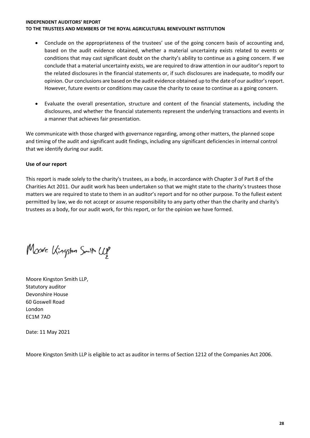- Conclude on the appropriateness of the trustees' use of the going concern basis of accounting and, based on the audit evidence obtained, whether a material uncertainty exists related to events or conditions that may cast significant doubt on the charity's ability to continue as a going concern. If we conclude that a material uncertainty exists, we are required to draw attention in our auditor's report to the related disclosures in the financial statements or, if such disclosures are inadequate, to modify our opinion. Our conclusions are based on the audit evidence obtained up to the date of our auditor's report. However, future events or conditions may cause the charity to cease to continue as a going concern.
- Evaluate the overall presentation, structure and content of the financial statements, including the disclosures, and whether the financial statements represent the underlying transactions and events in a manner that achieves fair presentation.

We communicate with those charged with governance regarding, among other matters, the planned scope and timing of the audit and significant audit findings, including any significant deficiencies in internal control that we identify during our audit.

## Use of our report

This report is made solely to the charity's trustees, as a body, in accordance with Chapter 3 of Part 8 of the Charities Act 2011. Our audit work has been undertaken so that we might state to the charity's trustees those matters we are required to state to them in an auditor's report and for no other purpose. To the fullest extent permitted by law, we do not accept or assume responsibility to any party other than the charity and charity's trustees as a body, for our audit work, for this report, or for the opinion we have formed.

Moore Kingston Smith Up

Moore Kingston Smith LLP, Statutory auditor Devonshire House 60 Goswell Road London EC1M 7AD

Date: 11 May 2021

Moore Kingston Smith LLP is eligible to act as auditor in terms of Section 1212 of the Companies Act 2006.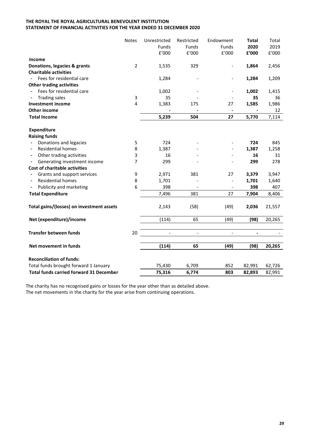#### THE ROYAL THE ROYAL AGRICULTURAL BENEVOLENT INSTITUTION STATEMENT OF FINANCIAL ACTIVITIES FOR THE YEAR ENDED 31 DECEMBER 2020

|                                           | Notes          | Unrestricted   | Restricted               | Endowment                    | <b>Total</b>             | Total  |
|-------------------------------------------|----------------|----------------|--------------------------|------------------------------|--------------------------|--------|
|                                           |                | <b>Funds</b>   | <b>Funds</b>             | <b>Funds</b>                 | 2020                     | 2019   |
|                                           |                | f'000          | E'000                    | E'000                        | £'000                    | f'000  |
| <b>Income</b>                             |                |                |                          |                              |                          |        |
| Donations, legacies & grants              | $\overline{2}$ | 1,535          | 329                      |                              | 1,864                    | 2,456  |
| <b>Charitable activities</b>              |                |                |                          |                              |                          |        |
| Fees for residential care                 |                | 1,284          |                          |                              | 1,284                    | 1,209  |
| <b>Other trading activities</b>           |                |                |                          |                              |                          |        |
| Fees for residential care                 |                | 1,002          |                          |                              | 1,002                    | 1,415  |
| <b>Trading sales</b>                      | 3              | 35             |                          |                              | 35                       | 36     |
| <b>Investment income</b>                  | 4              | 1,383          | 175                      | 27                           | 1,585                    | 1,986  |
| Other income                              |                |                |                          |                              |                          | 12     |
| Total Income                              |                | 5,239          | 504                      | 27                           | 5,770                    | 7,114  |
| Expenditure                               |                |                |                          |                              |                          |        |
| <b>Raising funds</b>                      |                |                |                          |                              |                          |        |
| Donations and legacies                    | 5              | 724            |                          |                              | 724                      | 845    |
| <b>Residential homes</b>                  | 8              | 1,387          |                          |                              | 1,387                    | 1,258  |
| Other trading activities                  | 3              | 16             |                          |                              | 16                       | 31     |
| Generating investment income              | 7              | 299            |                          |                              | 299                      | 278    |
| <b>Cost of charitable activities</b>      |                |                |                          |                              |                          |        |
| Grants and support services               | 9              | 2,971          | 381                      | 27                           | 3,379                    | 3,947  |
| <b>Residential homes</b>                  | 8              | 1,701          |                          |                              | 1,701                    | 1,640  |
| Publicity and marketing                   | 6              | 398            |                          |                              | 398                      | 407    |
| <b>Total Expenditure</b>                  |                | 7,496          | 381                      | 27                           | 7,904                    | 8,406  |
| Total gains/(losses) on investment assets |                | 2,143          | (58)                     | (49)                         | 2,036                    | 21,557 |
| Net (expenditure)/income                  |                | (114)          | 65                       | (49)                         | (98)                     | 20,265 |
| <b>Transfer between funds</b>             | 20             | $\blacksquare$ | $\overline{\phantom{a}}$ | $\qquad \qquad \blacksquare$ | $\overline{\phantom{a}}$ |        |
|                                           |                |                |                          |                              |                          |        |
| Net movement in funds                     |                | (114)          | 65                       | (49)                         | (98)                     | 20,265 |
| <b>Reconciliation of funds:</b>           |                |                |                          |                              |                          |        |
| Total funds brought forward 1 January     |                | 75,430         | 6,709                    | 852                          | 82,991                   | 62,726 |
| Total funds carried forward 31 December   |                | 75,316         | 6,774                    | 803                          | 82,893                   | 82,991 |

The charity has no recognised gains or losses for the year other than as detailed above. The net movements in the charity for the year arise from continuing operations.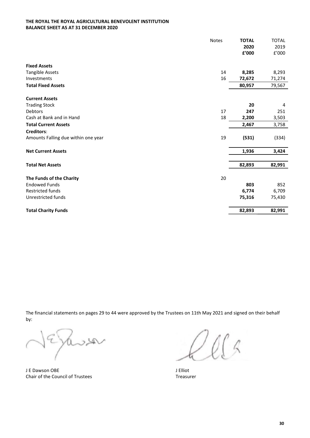#### THE ROYAL THE ROYAL AGRICULTURAL BENEVOLENT INSTITUTION BALANCE SHEET AS AT 31 DECEMBER 2020

|                                     | <b>Notes</b> | <b>TOTAL</b> | <b>TOTAL</b> |
|-------------------------------------|--------------|--------------|--------------|
|                                     |              | 2020         | 2019         |
|                                     |              | £'000        | f'000        |
| <b>Fixed Assets</b>                 |              |              |              |
| <b>Tangible Assets</b>              | 14           | 8,285        | 8,293        |
| Investments                         | 16           | 72,672       | 71,274       |
| <b>Total Fixed Assets</b>           |              | 80,957       | 79,567       |
| <b>Current Assets</b>               |              |              |              |
| <b>Trading Stock</b>                |              | 20           | 4            |
| <b>Debtors</b>                      | 17           | 247          | 251          |
| Cash at Bank and in Hand            | 18           | 2,200        | 3,503        |
| <b>Total Current Assets</b>         |              | 2,467        | 3,758        |
| Creditors:                          |              |              |              |
| Amounts Falling due within one year | 19           | (531)        | (334)        |
| <b>Net Current Assets</b>           |              | 1,936        | 3,424        |
| <b>Total Net Assets</b>             |              | 82,893       | 82,991       |
|                                     |              |              |              |
| The Funds of the Charity            | 20           |              |              |
| <b>Endowed Funds</b>                |              | 803          | 852          |
| <b>Restricted funds</b>             |              | 6,774        | 6,709        |
| Unrestricted funds                  |              | 75,316       | 75,430       |
| <b>Total Charity Funds</b>          |              | 82,893       | 82,991       |
|                                     |              |              |              |

The financial statements on pages 29 to 44 were approved by the Trustees on 11th May 2021 and signed on their behalf by:

 $\mathcal{P}(\mathcal{A})$ 

J E Dawson OBE J Elliot Chair of the Council of Trustees Treasurer

 $068$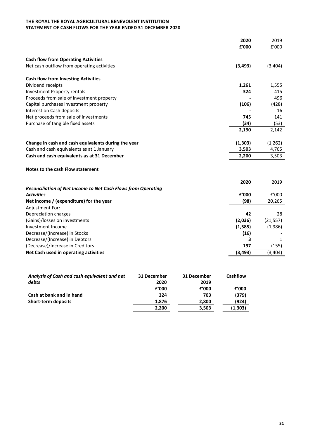#### THE ROYAL THE ROYAL AGRICULTURAL BENEVOLENT INSTITUTION STATEMENT OF CASH FLOWS FOR THE YEAR ENDED 31 DECEMBER 2020

|                                                               | 2020     | 2019      |
|---------------------------------------------------------------|----------|-----------|
|                                                               | £'000    | £'000     |
| <b>Cash flow from Operating Activities</b>                    |          |           |
| Net cash outflow from operating activities                    | (3, 493) | (3,404)   |
|                                                               |          |           |
| <b>Cash flow from Investing Activities</b>                    |          |           |
| Dividend receipts                                             | 1,261    | 1,555     |
| <b>Investment Property rentals</b>                            | 324      | 415       |
| Proceeds from sale of investment property                     |          | 496       |
| Capital purchases investment property                         | (106)    | (428)     |
| Interest on Cash deposits                                     |          | 16        |
| Net proceeds from sale of investments                         | 745      | 141       |
| Purchase of tangible fixed assets                             | (34)     | (53)      |
|                                                               | 2,190    | 2,142     |
|                                                               |          |           |
| Change in cash and cash equivalents during the year           | (1, 303) | (1, 262)  |
| Cash and cash equivalents as at 1 January                     | 3,503    | 4,765     |
| Cash and cash equivalents as at 31 December                   | 2,200    | 3,503     |
|                                                               |          |           |
| Notes to the cash Flow statement                              |          |           |
|                                                               | 2020     | 2019      |
| Reconciliation of Net Income to Net Cash Flows from Operating |          |           |
| <b>Activities</b>                                             | f'000    | f'000     |
| Net income / (expenditure) for the year                       | (98)     | 20,265    |
| <b>Adjustment For:</b>                                        |          |           |
| Depreciation charges                                          | 42       | 28        |
| (Gains)/losses on investments                                 | (2,036)  | (21, 557) |
| Investment Income                                             | (1, 585) | (1,986)   |
| Decrease/(Increase) in Stocks                                 | (16)     |           |
| Decrease/(Increase) in Debtors                                | 3        | 1         |
| (Decrease)/Increase in Creditors                              | 197      | (155)     |
| Net Cash used in operating activities                         | (3, 493) | (3,404)   |

| Analysis of Cash and cash equivalent and net | 31 December | 31 December | <b>Cashflow</b> |
|----------------------------------------------|-------------|-------------|-----------------|
| debts                                        | 2020        | 2019        |                 |
|                                              | f'000       | f'000       | £'000           |
| Cash at bank and in hand                     | 324         | 703         | (379)           |
| Short-term deposits                          | 1.876       | 2,800       | (924)           |
|                                              | 2,200       | 3,503       | (1,303)         |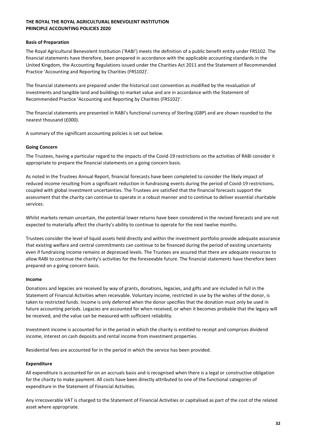#### THE ROYAL THE ROYAL AGRICULTURAL BENEVOLENT INSTITUTION PRINCIPLE ACCOUNTING POLICIES 2020

#### Basis of Preparation

The Royal Agricultural Benevolent Institution ('RABI') meets the definition of a public benefit entity under FRS102. The financial statements have therefore, been prepared in accordance with the applicable accounting standards in the United Kingdom, the Accounting Regulations issued under the Charities Act 2011 and the Statement of Recommended Practice 'Accounting and Reporting by Charities (FRS102)'.

The financial statements are prepared under the historical cost convention as modified by the revaluation of investments and tangible land and buildings to market value and are in accordance with the Statement of Recommended Practice 'Accounting and Reporting by Charities (FRS102)'.

The financial statements are presented in RABI's functional currency of Sterling (GBP) and are shown rounded to the nearest thousand (£000).

A summary of the significant accounting policies is set out below.

#### Going Concern

The Trustees, having a particular regard to the impacts of the Covid-19 restrictions on the activities of RABI consider it appropriate to prepare the financial statements on a going concern basis.

As noted in the Trustees Annual Report, financial forecasts have been completed to consider the likely impact of reduced income resulting from a significant reduction in fundraising events during the period of Covid-19 restrictions, coupled with global investment uncertainties. The Trustees are satisfied that the financial forecasts support the assessment that the charity can continue to operate in a robust manner and to continue to deliver essential charitable services.

Whilst markets remain uncertain, the potential lower returns have been considered in the revised forecasts and are not expected to materially affect the charity's ability to continue to operate for the next twelve months.

Trustees consider the level of liquid assets held directly and within the investment portfolio provide adequate assurance that existing welfare and central commitments can continue to be financed during the period of existing uncertainty even if fundraising income remains at depressed levels. The Trustees are assured that there are adequate resources to allow RABI to continue the charity's activities for the foreseeable future. The financial statements have therefore been prepared on a going concern basis.

#### Income

Donations and legacies are received by way of grants, donations, legacies, and gifts and are included in full in the Statement of Financial Activities when receivable. Voluntary income, restricted in use by the wishes of the donor, is taken to restricted funds. Income is only deferred when the donor specifies that the donation must only be used in future accounting periods. Legacies are accounted for when received, or when it becomes probable that the legacy will be received, and the value can be measured with sufficient reliability.

Investment income is accounted for in the period in which the charity is entitled to receipt and comprises dividend income, interest on cash deposits and rental income from investment properties.

Residential fees are accounted for in the period in which the service has been provided.

#### Expenditure

All expenditure is accounted for on an accruals basis and is recognised when there is a legal or constructive obligation for the charity to make payment. All costs have been directly attributed to one of the functional categories of expenditure in the Statement of Financial Activities.

Any irrecoverable VAT is charged to the Statement of Financial Activities or capitalised as part of the cost of the related asset where appropriate.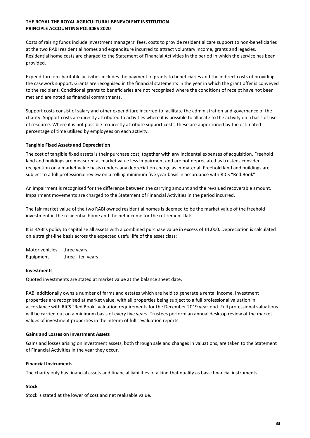#### THE ROYAL THE ROYAL AGRICULTURAL BENEVOLENT INSTITUTION PRINCIPLE ACCOUNTING POLICIES 2020

Costs of raising funds include investment managers' fees, costs to provide residential care support to non-beneficiaries at the two RABI residential homes and expenditure incurred to attract voluntary income, grants and legacies. Residential home costs are charged to the Statement of Financial Activities in the period in which the service has been provided.

Expenditure on charitable activities includes the payment of grants to beneficiaries and the indirect costs of providing the casework support. Grants are recognised in the financial statements in the year in which the grant offer is conveyed to the recipient. Conditional grants to beneficiaries are not recognised where the conditions of receipt have not been met and are noted as financial commitments.

Support costs consist of salary and other expenditure incurred to facilitate the administration and governance of the charity. Support costs are directly attributed to activities where it is possible to allocate to the activity on a basis of use of resource. Where it is not possible to directly attribute support costs, these are apportioned by the estimated percentage of time utilised by employees on each activity.

#### Tangible Fixed Assets and Depreciation

The cost of tangible fixed assets is their purchase cost, together with any incidental expenses of acquisition. Freehold land and buildings are measured at market value less impairment and are not depreciated as trustees consider recognition on a market value basis renders any depreciation charge as immaterial. Freehold land and buildings are subject to a full professional review on a rolling minimum five year basis in accordance with RICS "Red Book".

An impairment is recognised for the difference between the carrying amount and the revalued recoverable amount. Impairment movements are charged to the Statement of Financial Activities in the period incurred.

The fair market value of the two RABI owned residential homes is deemed to be the market value of the freehold investment in the residential home and the net income for the retirement flats.

It is RABI's policy to capitalise all assets with a combined purchase value in excess of £1,000. Depreciation is calculated on a straight-line basis across the expected useful life of the asset class:

Motor vehicles three years Equipment three - ten years

#### Investments

Quoted investments are stated at market value at the balance sheet date.

RABI additionally owns a number of farms and estates which are held to generate a rental income. Investment properties are recognised at market value, with all properties being subject to a full professional valuation in accordance with RICS "Red Book" valuation requirements for the December 2019 year-end. Full professional valuations will be carried out on a minimum basis of every five years. Trustees perform an annual desktop review of the market values of investment properties in the interim of full revaluation reports.

#### Gains and Losses on Investment Assets

Gains and losses arising on investment assets, both through sale and changes in valuations, are taken to the Statement of Financial Activities in the year they occur.

#### Financial Instruments

The charity only has financial assets and financial liabilities of a kind that qualify as basic financial instruments.

#### Stock

Stock is stated at the lower of cost and net realisable value.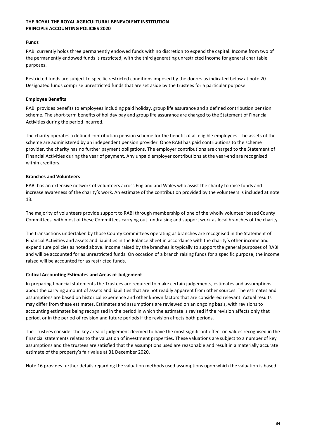#### THE ROYAL THE ROYAL AGRICULTURAL BENEVOLENT INSTITUTION PRINCIPLE ACCOUNTING POLICIES 2020

#### Funds

RABI currently holds three permanently endowed funds with no discretion to expend the capital. Income from two of the permanently endowed funds is restricted, with the third generating unrestricted income for general charitable purposes.

Restricted funds are subject to specific restricted conditions imposed by the donors as indicated below at note 20. Designated funds comprise unrestricted funds that are set aside by the trustees for a particular purpose.

#### Employee Benefits

RABI provides benefits to employees including paid holiday, group life assurance and a defined contribution pension scheme. The short-term benefits of holiday pay and group life assurance are charged to the Statement of Financial Activities during the period incurred.

The charity operates a defined contribution pension scheme for the benefit of all eligible employees. The assets of the scheme are administered by an independent pension provider. Once RABI has paid contributions to the scheme provider, the charity has no further payment obligations. The employer contributions are charged to the Statement of Financial Activities during the year of payment. Any unpaid employer contributions at the year-end are recognised within creditors.

#### Branches and Volunteers

RABI has an extensive network of volunteers across England and Wales who assist the charity to raise funds and increase awareness of the charity's work. An estimate of the contribution provided by the volunteers is included at note 13.

The majority of volunteers provide support to RABI through membership of one of the wholly volunteer based County Committees, with most of these Committees carrying out fundraising and support work as local branches of the charity.

The transactions undertaken by those County Committees operating as branches are recognised in the Statement of Financial Activities and assets and liabilities in the Balance Sheet in accordance with the charity's other income and expenditure policies as noted above. Income raised by the branches is typically to support the general purposes of RABI and will be accounted for as unrestricted funds. On occasion of a branch raising funds for a specific purpose, the income raised will be accounted for as restricted funds.

#### Critical Accounting Estimates and Areas of Judgement

In preparing financial statements the Trustees are required to make certain judgements, estimates and assumptions about the carrying amount of assets and liabilities that are not readily apparent from other sources. The estimates and assumptions are based on historical experience and other known factors that are considered relevant. Actual results may differ from these estimates. Estimates and assumptions are reviewed on an ongoing basis, with revisions to accounting estimates being recognised in the period in which the estimate is revised if the revision affects only that period, or in the period of revision and future periods if the revision affects both periods.

The Trustees consider the key area of judgement deemed to have the most significant effect on values recognised in the financial statements relates to the valuation of investment properties. These valuations are subject to a number of key assumptions and the trustees are satisfied that the assumptions used are reasonable and result in a materially accurate estimate of the property's fair value at 31 December 2020.

Note 16 provides further details regarding the valuation methods used assumptions upon which the valuation is based.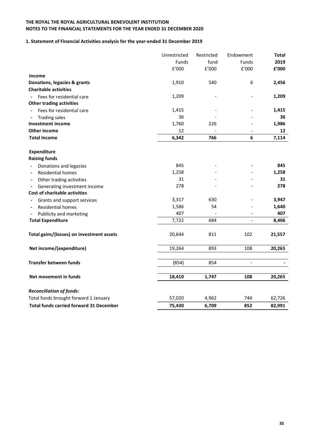#### 1. Statement of Financial Activities analysis for the year-ended 31 December 2019

|                                           | Unrestricted | Restricted | Endowment     | <b>Total</b> |
|-------------------------------------------|--------------|------------|---------------|--------------|
|                                           | <b>Funds</b> | fund       | <b>Funds</b>  | 2019         |
|                                           | f'000        | E'000      | f'000         | £'000        |
| <b>Income</b>                             |              |            |               |              |
| Donations, legacies & grants              | 1,910        | 540        | 6             | 2,456        |
| <b>Charitable activities</b>              |              |            |               |              |
| Fees for residential care                 | 1,209        |            |               | 1,209        |
| <b>Other trading activities</b>           |              |            |               |              |
| Fees for residential care                 | 1,415        |            |               | 1,415        |
| <b>Trading sales</b>                      | 36           |            |               | 36           |
| <b>Investment income</b>                  | 1,760        | 226        |               | 1,986        |
| <b>Other income</b>                       | 12           |            |               | 12           |
| Total Income                              | 6,342        | 766        | 6             | 7,114        |
| Expenditure                               |              |            |               |              |
| <b>Raising funds</b>                      |              |            |               |              |
| Donations and legacies                    | 845          |            |               | 845          |
| <b>Residential homes</b>                  | 1,258        |            |               | 1,258        |
| Other trading activities                  | 31           |            |               | 31           |
| Generating investment income              | 278          |            |               | 278          |
| Cost of charitable activities             |              |            |               |              |
| Grants and support services               | 3,317        | 630        |               | 3,947        |
| Residential homes                         | 1,586        | 54         |               | 1,640        |
| Publicity and marketing                   | 407          |            |               | 407          |
| <b>Total Expenditure</b>                  | 7,722        | 684        |               | 8,406        |
| Total gains/(losses) on investment assets | 20,644       | 811        | 102           | 21,557       |
| Net income/(expenditure)                  | 19,264       | 893        | 108           | 20,265       |
| <b>Transfer between funds</b>             | (854)        | 854        | $\frac{1}{2}$ |              |
|                                           |              |            |               |              |
| Net movement in funds.                    | 18,410       | 1,747      | 108           | 20,265       |
| <b>Reconciliation of funds:</b>           |              |            |               |              |
| Total funds brought forward 1 January     | 57,020       | 4,962      | 744           | 62,726       |
| Total funds carried forward 31 December   | 75,430       | 6,709      | 852           | 82,991       |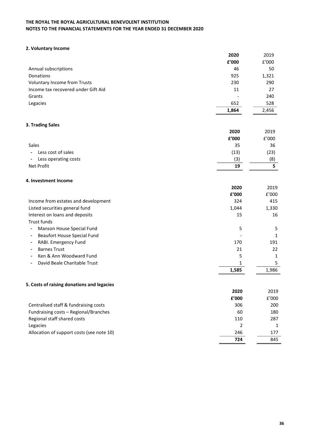#### 2. Voluntary Income

|                                     | 2020  | 2019  |
|-------------------------------------|-------|-------|
|                                     | f'000 | f'000 |
| Annual subscriptions                | 46    | 50    |
| Donations                           | 925   | 1,321 |
| Voluntary Income from Trusts        | 230   | 290   |
| Income tax recovered under Gift Aid | 11    | 27    |
| Grants                              |       | 240   |
| Legacies                            | 652   | 528   |
|                                     | 1,864 | 2,456 |

#### 3. Trading Sales

|                                      | 2020  | 2019  |
|--------------------------------------|-------|-------|
|                                      | £'000 | £'000 |
| Sales                                | 35    | 36    |
| Less cost of sales<br>$\blacksquare$ | (13)  | (23)  |
| Less operating costs<br>$\sim$       | (3)   | (8)   |
| Net Profit                           | 19    |       |

#### 4. Investment Income

|                                       | 2020  | 2019  |
|---------------------------------------|-------|-------|
|                                       | f'000 | f'000 |
| Income from estates and development   | 324   | 415   |
| Listed securities general fund        | 1,044 | 1,330 |
| Interest on loans and deposits        | 15    | 16    |
| Trust funds                           |       |       |
| Manson House Special Fund<br>۰.       | 5     | 5.    |
| Beaufort House Special Fund<br>$\sim$ |       |       |
| RABI. Emergency Fund                  | 170   | 191   |
| <b>Barnes Trust</b>                   | 21    | 22    |
| Ken & Ann Woodward Fund               | 5     | 1     |
| David Beale Charitable Trust          |       | 5     |
|                                       | 1,585 | 1,986 |

#### 5. Costs of raising donations and legacies

|                                           | 2020  | 2019  |
|-------------------------------------------|-------|-------|
|                                           | f'000 | f'000 |
| Centralised staff & fundraising costs     | 306   | 200   |
| Fundraising costs – Regional/Branches     | 60    | 180   |
| Regional staff shared costs               | 110   | 287   |
| Legacies                                  |       |       |
| Allocation of support costs (see note 10) | 246   | 177   |
|                                           | 724   | 845   |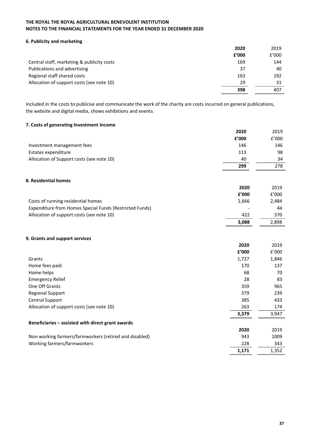#### 6. Publicity and marketing

|                                            | 2020  | 2019  |
|--------------------------------------------|-------|-------|
|                                            | f'000 | f'000 |
| Central staff, marketing & publicity costs | 169   | 144   |
| Publications and advertising               | 37    | 40    |
| Regional staff shared costs                | 163   | 192   |
| Allocation of support costs (see note 10)  | 29    | 31    |
|                                            | 398   | 407   |

Included in the costs to publicise and communicate the work of the charity are costs incurred on general publications, the website and digital media, shows exhibitions and events.

#### 7. Costs of generating Investment Income

|                                           | 2020  | 2019  |
|-------------------------------------------|-------|-------|
|                                           | £'000 | f'000 |
| Investment management fees                | 146   | 146   |
| Estates expenditure                       | 113   | 98    |
| Allocation of Support costs (see note 10) | 40    | 34    |
|                                           | 299   | 278   |

#### 8. Residential homes

|                                                         | 2020                     | 2019  |
|---------------------------------------------------------|--------------------------|-------|
|                                                         | f'000                    | f'000 |
| Costs of running residential homes                      | 2.666                    | 2.484 |
| Expenditure from Homes Special Funds (Restricted Funds) | $\overline{\phantom{0}}$ | 44    |
| Allocation of support costs (see note 10)               | 422                      | 370   |
|                                                         | 3,088                    | 2,898 |

#### 9. Grants and support services

|                                                        | 2020  | 2019  |
|--------------------------------------------------------|-------|-------|
|                                                        | f'000 | f'000 |
| Grants                                                 | 1,727 | 1,846 |
| Home fees paid                                         | 170   | 137   |
| Home helps                                             | 68    | 70    |
| <b>Emergency Relief</b>                                | 28    | 83    |
| One Off Grants                                         | 359   | 965   |
| <b>Regional Support</b>                                | 379   | 239   |
| Central Support                                        | 385   | 433   |
| Allocation of support costs (see note 10)              | 263   | 174   |
|                                                        | 3,379 | 3,947 |
| Beneficiaries - assisted with direct grant awards      |       |       |
|                                                        | 2020  | 2019  |
| Non-working farmers/farmworkers (retired and disabled) | 943   | 1009  |
| Working farmers/farmworkers                            | 228   | 343   |
|                                                        | 1,171 | 1,352 |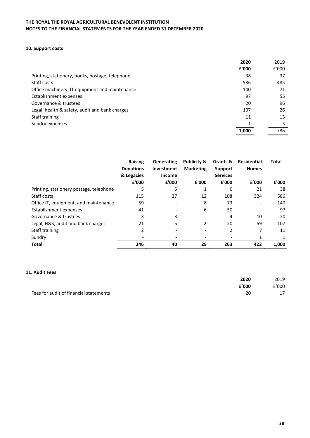#### 10. Support costs

|                                                 | 2020  | 2019  |
|-------------------------------------------------|-------|-------|
|                                                 | £'000 | f'000 |
| Printing, stationery, books, postage, telephone | 38    | 37    |
| Staff costs                                     | 586   | 485   |
| Office machinery, IT equipment and maintenance  | 140   | 71    |
| Establishment expenses                          | 97    | 55    |
| Governance & trustees                           | 20    | 96    |
| Legal, health & safety, audit and bank charges  | 107   | 26    |
| Staff training                                  | 11    | 13    |
| Sundry expenses                                 |       | 3     |
|                                                 | 1,000 | 786   |

|                                         | <b>Raising</b><br><b>Donations</b><br>& Legacies | Generating<br>Investment<br>Income | <b>Publicity &amp;</b><br><b>Marketing</b> | Grants &<br>Support<br><b>Services</b> | <b>Residential</b><br><b>Homes</b> | Total |
|-----------------------------------------|--------------------------------------------------|------------------------------------|--------------------------------------------|----------------------------------------|------------------------------------|-------|
|                                         | £'000                                            | £'000                              | £'000                                      | £'000                                  | f'000                              | £'000 |
| Printing, stationery postage, telephone | 5                                                | 5                                  |                                            | 6                                      | 21                                 | 38    |
| Staff costs                             | 115                                              | 27                                 | 12                                         | 108                                    | 324                                | 586   |
| Office IT, equipment, and maintenance   | 59                                               | $\overline{\phantom{a}}$           | 8                                          | 73                                     |                                    | 140   |
| Establishment expenses                  | 41                                               |                                    | 6                                          | 50                                     |                                    | 97    |
| Governance & trustees                   | 3                                                | 3                                  |                                            | 4                                      | 10                                 | 20    |
| Legal, H&S, audit and bank charges      | 21                                               | 5                                  | 2                                          | 20                                     | 59                                 | 107   |
| Staff training                          | 2                                                |                                    |                                            | 2                                      |                                    | 11    |
| Sundry                                  |                                                  |                                    |                                            |                                        |                                    | 1     |
| <b>Total</b>                            | 246                                              | 40                                 | 29                                         | 263                                    | 422                                | 1,000 |

#### 11. Audit Fees

|                                        | 2020  | 2019  |
|----------------------------------------|-------|-------|
|                                        | £'000 | f'000 |
| Fees for audit of financial statements | 20    | 17    |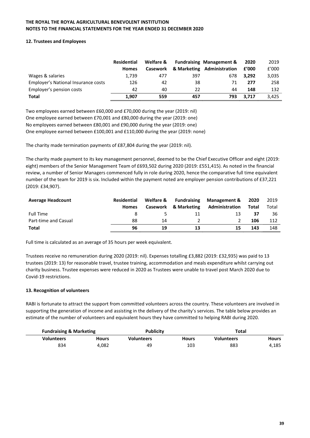#### 12. Trustees and Employees

|                                     | <b>Residential</b> | Welfare & |     | <b>Fundraising Management &amp;</b> | 2020  | 2019  |
|-------------------------------------|--------------------|-----------|-----|-------------------------------------|-------|-------|
|                                     | <b>Homes</b>       | Casework  |     | & Marketing Administration          | £'000 | £'000 |
| Wages & salaries                    | 1.739              | 477       | 397 | 678                                 | 3.292 | 3,035 |
| Employer's National Insurance costs | 126                | 42        | 38  | 71                                  | 277   | 258   |
| Employer's pension costs            | 42                 | 40        | 22  | 44                                  | 148   | 132   |
| Total                               | 1,907              | 559       | 457 | 793                                 | 3.717 | 3,425 |

Two employees earned between £60,000 and £70,000 during the year (2019: nil) One employee earned between £70,001 and £80,000 during the year (2019: one) No employees earned between £80,001 and £90,000 during the year (2019: one) One employee earned between £100,001 and £110,000 during the year (2019: none)

The charity made termination payments of £87,804 during the year (2019: nil).

The charity made payment to its key management personnel, deemed to be the Chief Executive Officer and eight (2019: eight) members of the Senior Management Team of £693,502 during 2020 (2019: £551,415). As noted in the financial review, a number of Senior Managers commenced fully in role during 2020, hence the comparative full time equivalent number of the team for 2019 is six. Included within the payment noted are employer pension contributions of £37,221 (2019: £34,907).

| <b>Average Headcount</b> | Residential  | Welfare & |                      | <b>Fundraising Management &amp;</b> | 2020  | 2019  |
|--------------------------|--------------|-----------|----------------------|-------------------------------------|-------|-------|
|                          | <b>Homes</b> |           | Casework & Marketing | Administration                      | Total | Total |
| <b>Full Time</b>         |              |           | 11                   | 13                                  | 37    | 36    |
| Part-time and Casual     | 88           | 14        |                      |                                     | 106   | 112   |
| Total                    | 96           | 19        | 13                   | 15                                  | 143   | 148   |

Full time is calculated as an average of 35 hours per week equivalent.

Trustees receive no remuneration during 2020 (2019: nil). Expenses totalling £3,882 (2019: £32,935) was paid to 13 trustees (2019: 13) for reasonable travel, trustee training, accommodation and meals expenditure whilst carrying out charity business. Trustee expenses were reduced in 2020 as Trustees were unable to travel post March 2020 due to Covid-19 restrictions.

#### 13. Recognition of volunteers

RABI is fortunate to attract the support from committed volunteers across the country. These volunteers are involved in supporting the generation of income and assisting in the delivery of the charity's services. The table below provides an estimate of the number of volunteers and equivalent hours they have committed to helping RABI during 2020.

|                   | <b>Fundraising &amp; Marketing</b> |                   |              | Total             |       |
|-------------------|------------------------------------|-------------------|--------------|-------------------|-------|
| <b>Volunteers</b> | Hours                              | <b>Volunteers</b> | <b>Hours</b> | <b>Volunteers</b> | Hours |
| 834               | 4.082                              | 49                | 103          | 883               | 4.185 |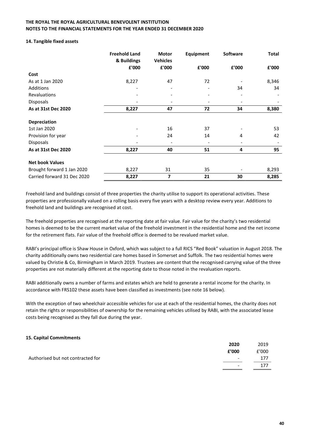#### 14. Tangible fixed assets

|                             | <b>Freehold Land</b><br>& Buildings | <b>Motor</b><br><b>Vehicles</b> | Equipment | <b>Software</b> | <b>Total</b> |
|-----------------------------|-------------------------------------|---------------------------------|-----------|-----------------|--------------|
|                             | £'000                               | £'000                           | £'000     | £'000           | £'000        |
| Cost                        |                                     |                                 |           |                 |              |
| As at 1 Jan 2020            | 8,227                               | 47                              | 72        |                 | 8,346        |
| Additions                   |                                     |                                 |           | 34              | 34           |
| Revaluations                |                                     |                                 |           |                 |              |
| <b>Disposals</b>            |                                     |                                 |           |                 |              |
| As at 31st Dec 2020         | 8,227                               | 47                              | 72        | 34              | 8,380        |
| Depreciation                |                                     |                                 |           |                 |              |
| 1st Jan 2020                |                                     | 16                              | 37        |                 | 53           |
| Provision for year          |                                     | 24                              | 14        | 4               | 42           |
| Disposals                   |                                     |                                 |           |                 |              |
| As at 31st Dec 2020         | 8,227                               | 40                              | 51        | 4               | 95           |
| <b>Net book Values</b>      |                                     |                                 |           |                 |              |
| Brought forward 1 Jan 2020  | 8,227                               | 31                              | 35        |                 | 8,293        |
| Carried forward 31 Dec 2020 | 8,227                               | 7                               | 21        | 30              | 8,285        |

Freehold land and buildings consist of three properties the charity utilise to support its operational activities. These properties are professionally valued on a rolling basis every five years with a desktop review every year. Additions to freehold land and buildings are recognised at cost.

The freehold properties are recognised at the reporting date at fair value. Fair value for the charity's two residential homes is deemed to be the current market value of the freehold investment in the residential home and the net income for the retirement flats. Fair value of the freehold office is deemed to be revalued market value.

RABI's principal office is Shaw House in Oxford, which was subject to a full RICS "Red Book" valuation in August 2018. The charity additionally owns two residential care homes based in Somerset and Suffolk. The two residential homes were valued by Christie & Co, Birmingham in March 2019. Trustees are content that the recognised carrying value of the three properties are not materially different at the reporting date to those noted in the revaluation reports.

RABI additionally owns a number of farms and estates which are held to generate a rental income for the charity. In accordance with FRS102 these assets have been classified as investments (see note 16 below).

With the exception of two wheelchair accessible vehicles for use at each of the residential homes, the charity does not retain the rights or responsibilities of ownership for the remaining vehicles utilised by RABI, with the associated lease costs being recognised as they fall due during the year.

#### 15. Capital Commitments

|                                   | 2020                     | 2019  |
|-----------------------------------|--------------------------|-------|
|                                   | f'000                    | f'000 |
| Authorised but not contracted for | $\sim$                   | 177   |
|                                   | $\overline{\phantom{0}}$ | 177   |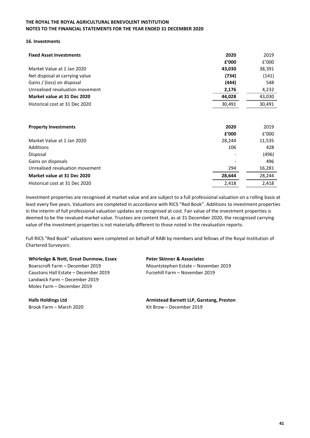#### 16. Investments

| <b>Fixed Asset Investments</b>  | 2020   | 2019   |
|---------------------------------|--------|--------|
|                                 | £'000  | f'000  |
| Market Value at 1 Jan 2020      | 43,030 | 38,391 |
| Net disposal at carrying value  | (734)  | (141)  |
| Gains / (loss) on disposal      | (444)  | 548    |
| Unrealised revaluation movement | 2,176  | 4,232  |
| Market value at 31 Dec 2020     | 44,028 | 43,030 |
| Historical cost at 31 Dec 2020  | 30,491 | 30,491 |
|                                 |        |        |
| <b>Property Investments</b>     | 2020   | 2019   |
|                                 | £'000  | f'000  |
| Market Value at 1 Jan 2020      | 28,244 | 11,535 |
| Additions                       | 106    | 428    |
| Disposal                        |        | (496)  |
| Gains on disposals              |        | 496    |
| Unrealised revaluation movement | 294    | 16,281 |
| Market value at 31 Dec 2020     | 28,644 | 28,244 |
| Historical cost at 31 Dec 2020  | 2,418  | 2,418  |

Investment properties are recognised at market value and are subject to a full professional valuation on a rolling basis at least every five years. Valuations are completed in accordance with RICS "Red Book". Additions to investment properties in the interim of full professional valuation updates are recognised at cost. Fair value of the investment properties is deemed to be the revalued market value. Trustees are content that, as at 31 December 2020, the recognised carrying value of the investment properties is not materially different to those noted in the revaluation reports.

Full RICS "Red Book" valuations were completed on behalf of RABI by members and fellows of the Royal Institution of Chartered Surveyors:

Whirledge & Nott, Great Dunmow, Essex Peter Skinner & Associates Boarscroft Farm – December 2019 Mountstephen Estate – November 2019 Caustons Hall Estate – December 2019 Furzehill Farm – November 2019 Landwick Farm – December 2019 Moles Farm – December 2019

Halls Holdings Ltd **Armistead Barnett LLP, Garstang, Preston** Brook Farm – March 2020 Kit Brow – December 2019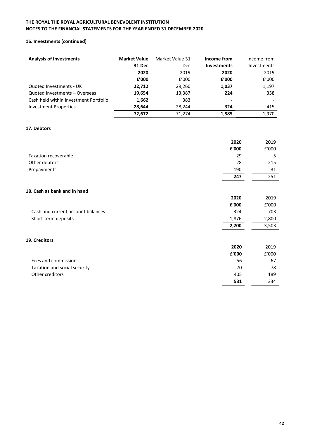#### 16. Investments (continued)

| <b>Analysis of Investments</b>        | <b>Market Value</b> | Market Value 31 | Income from        | Income from        |
|---------------------------------------|---------------------|-----------------|--------------------|--------------------|
|                                       | <b>31 Dec</b>       | Dec             | <b>Investments</b> | <b>Investments</b> |
|                                       | 2020                | 2019            | 2020               | 2019               |
|                                       | f'000               | f'000           | £'000              | f'000              |
| Quoted Investments - UK               | 22,712              | 29,260          | 1,037              | 1,197              |
| Quoted Investments - Overseas         | 19,654              | 13,387          | 224                | 358                |
| Cash held within Investment Portfolio | 1,662               | 383             |                    |                    |
| <b>Investment Properties</b>          | 28,644              | 28,244          | 324                | 415                |
|                                       | 72,672              | 71.274          | 1,585              | 1,970              |

#### 17. Debtors

|                                   | 2020  | 2019  |
|-----------------------------------|-------|-------|
|                                   | £'000 | £'000 |
| <b>Taxation recoverable</b>       | 29    | 5     |
| Other debtors                     | 28    | 215   |
| Prepayments                       | 190   | 31    |
|                                   | 247   | 251   |
|                                   |       |       |
| 18. Cash as bank and in hand      |       |       |
|                                   | 2020  | 2019  |
|                                   | £'000 | £'000 |
| Cash and current account balances | 324   | 703   |
| Short-term deposits               | 1,876 | 2,800 |
|                                   | 2,200 | 3,503 |
|                                   |       |       |
| 19. Creditors                     |       |       |
|                                   | 2020  | 2019  |
|                                   | £'000 | £'000 |
| Fees and commissions              | 56    | 67    |
| Taxation and social security      | 70    | 78    |
| Other creditors                   | 405   | 189   |
|                                   | 531   | 334   |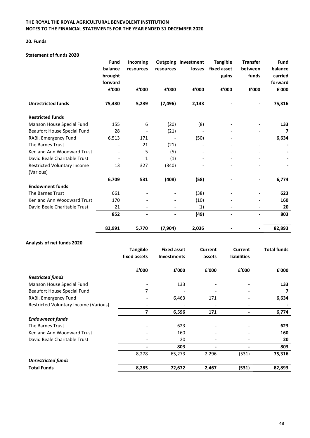#### 20. Funds

## Statement of funds 2020

|                                    | Fund<br>balance<br>brought<br>forward | Incoming<br>resources | resources                | <b>Outgoing Investment</b><br>losses | <b>Tangible</b><br>fixed asset<br>gains | <b>Transfer</b><br>between<br>funds | Fund<br>balance<br>carried<br>forward |
|------------------------------------|---------------------------------------|-----------------------|--------------------------|--------------------------------------|-----------------------------------------|-------------------------------------|---------------------------------------|
|                                    | £'000                                 | £'000                 | £'000                    | £'000                                | f'000                                   | £'000                               | £'000                                 |
| <b>Unrestricted funds</b>          | 75,430                                | 5,239                 | (7, 496)                 | 2,143                                | $\blacksquare$                          | $\overline{\phantom{0}}$            | 75,316                                |
| <b>Restricted funds</b>            |                                       |                       |                          |                                      |                                         |                                     |                                       |
| Manson House Special Fund          | 155                                   | 6                     | (20)                     | (8)                                  |                                         |                                     | 133                                   |
| <b>Beaufort House Special Fund</b> | 28                                    |                       | (21)                     |                                      |                                         |                                     | 7                                     |
| RABI. Emergency Fund               | 6,513                                 | 171                   |                          | (50)                                 |                                         |                                     | 6,634                                 |
| The Barnes Trust                   |                                       | 21                    | (21)                     |                                      |                                         |                                     |                                       |
| Ken and Ann Woodward Trust         |                                       | 5                     | (5)                      |                                      |                                         |                                     |                                       |
| David Beale Charitable Trust       |                                       | 1                     | (1)                      |                                      |                                         |                                     |                                       |
| Restricted Voluntary Income        | 13                                    | 327                   | (340)                    |                                      |                                         |                                     |                                       |
| (Various)                          |                                       |                       |                          |                                      |                                         |                                     |                                       |
|                                    | 6,709                                 | 531                   | (408)                    | (58)                                 |                                         | $\overline{a}$                      | 6,774                                 |
| <b>Endowment funds</b>             |                                       |                       |                          |                                      |                                         |                                     |                                       |
| The Barnes Trust                   | 661                                   |                       |                          | (38)                                 |                                         |                                     | 623                                   |
| Ken and Ann Woodward Trust         | 170                                   |                       |                          | (10)                                 |                                         | $\overline{\phantom{a}}$            | 160                                   |
| David Beale Charitable Trust       | 21                                    |                       |                          | (1)                                  |                                         |                                     | 20                                    |
|                                    | 852                                   |                       | $\overline{\phantom{0}}$ | (49)                                 | $\overline{\phantom{a}}$                | $\blacksquare$                      | 803                                   |
|                                    | 82,991                                | 5,770                 | (7,904)                  | 2,036                                |                                         | $\qquad \qquad \blacksquare$        | 82,893                                |

## Analysis of net funds 2020

|                                       | <b>Tangible</b> | <b>Fixed asset</b> | <b>Current</b> | <b>Current</b>     | <b>Total funds</b> |
|---------------------------------------|-----------------|--------------------|----------------|--------------------|--------------------|
|                                       | fixed assets    | <b>Investments</b> | assets         | <b>liabilities</b> |                    |
|                                       | £'000           | £'000              | £'000          | £'000              | £'000              |
| <b>Restricted funds</b>               |                 |                    |                |                    |                    |
| Manson House Special Fund             |                 | 133                |                |                    | 133                |
| <b>Beaufort House Special Fund</b>    | 7               |                    |                |                    |                    |
| RABI. Emergency Fund                  |                 | 6,463              | 171            |                    | 6,634              |
| Restricted Voluntary Income (Various) |                 |                    |                |                    |                    |
|                                       | 7               | 6,596              | 171            |                    | 6,774              |
| <b>Endowment funds</b>                |                 |                    |                |                    |                    |
| The Barnes Trust                      |                 | 623                |                |                    | 623                |
| Ken and Ann Woodward Trust            |                 | 160                |                |                    | 160                |
| David Beale Charitable Trust          |                 | 20                 |                |                    | 20                 |
|                                       |                 | 803                |                |                    | 803                |
|                                       | 8,278           | 65,273             | 2,296          | (531)              | 75,316             |
| <b>Unrestricted funds</b>             |                 |                    |                |                    |                    |
| <b>Total Funds</b>                    | 8,285           | 72,672             | 2,467          | (531)              | 82,893             |